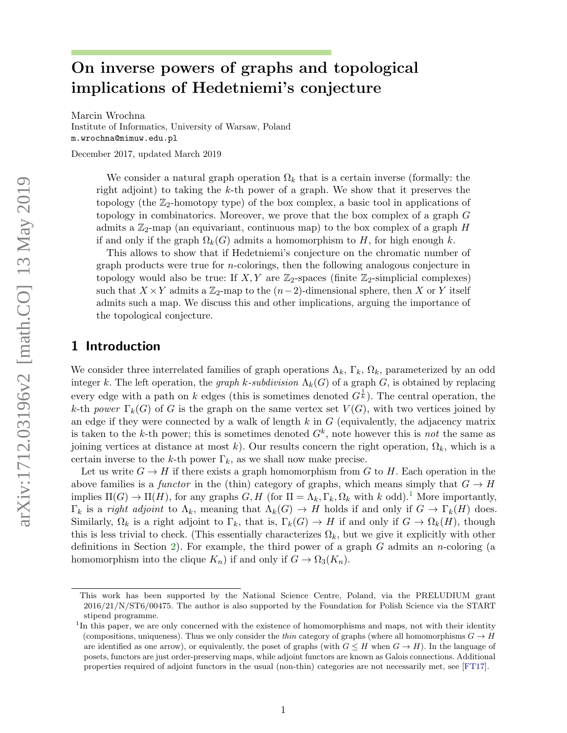# On inverse powers of graphs and topological implications of Hedetniemi's conjecture

Marcin Wrochna Institute of Informatics, University of Warsaw, Poland m.wrochna@mimuw.edu.pl

December 2017, updated March 2019

We consider a natural graph operation  $\Omega_k$  that is a certain inverse (formally: the right adjoint) to taking the k-th power of a graph. We show that it preserves the topology (the  $\mathbb{Z}_2$ -homotopy type) of the box complex, a basic tool in applications of topology in combinatorics. Moreover, we prove that the box complex of a graph G admits a  $\mathbb{Z}_2$ -map (an equivariant, continuous map) to the box complex of a graph H if and only if the graph  $\Omega_k(G)$  admits a homomorphism to H, for high enough k.

This allows to show that if Hedetniemi's conjecture on the chromatic number of graph products were true for n-colorings, then the following analogous conjecture in topology would also be true: If  $X, Y$  are  $\mathbb{Z}_2$ -spaces (finite  $\mathbb{Z}_2$ -simplicial complexes) such that  $X \times Y$  admits a  $\mathbb{Z}_2$ -map to the  $(n-2)$ -dimensional sphere, then X or Y itself admits such a map. We discuss this and other implications, arguing the importance of the topological conjecture.

### 1 Introduction

We consider three interrelated families of graph operations  $\Lambda_k$ ,  $\Gamma_k$ ,  $\Omega_k$ , parameterized by an odd integer k. The left operation, the graph k-subdivision  $\Lambda_k(G)$  of a graph G, is obtained by replacing every edge with a path on k edges (this is sometimes denoted  $G^{\frac{1}{k}}$ ). The central operation, the k-th power  $\Gamma_k(G)$  of G is the graph on the same vertex set  $V(G)$ , with two vertices joined by an edge if they were connected by a walk of length  $k$  in  $G$  (equivalently, the adjacency matrix is taken to the k-th power; this is sometimes denoted  $G<sup>k</sup>$ , note however this is not the same as joining vertices at distance at most k). Our results concern the right operation,  $\Omega_k$ , which is a certain inverse to the k-th power  $\Gamma_k$ , as we shall now make precise.

Let us write  $G \to H$  if there exists a graph homomorphism from G to H. Each operation in the above families is a functor in the (thin) category of graphs, which means simply that  $G \to H$ implies  $\Pi(G) \to \Pi(H)$ , for any graphs  $G, H$  (for  $\Pi = \Lambda_k, \Gamma_k, \Omega_k$  with k odd).<sup>[1](#page-0-0)</sup> More importantly,  $\Gamma_k$  is a *right adjoint* to  $\Lambda_k$ , meaning that  $\Lambda_k(G) \to H$  holds if and only if  $G \to \Gamma_k(H)$  does. Similarly,  $\Omega_k$  is a right adjoint to  $\Gamma_k$ , that is,  $\Gamma_k(G) \to H$  if and only if  $G \to \Omega_k(H)$ , though this is less trivial to check. (This essentially characterizes  $\Omega_k$ , but we give it explicitly with other definitions in Section [2\)](#page-4-0). For example, the third power of a graph  $G$  admits an *n*-coloring (a homomorphism into the clique  $K_n$ ) if and only if  $G \to \Omega_3(K_n)$ .

This work has been supported by the National Science Centre, Poland, via the PRELUDIUM grant 2016/21/N/ST6/00475. The author is also supported by the Foundation for Polish Science via the START stipend programme.

<span id="page-0-0"></span><sup>&</sup>lt;sup>1</sup>In this paper, we are only concerned with the existence of homomorphisms and maps, not with their identity (compositions, uniqueness). Thus we only consider the *thin* category of graphs (where all homomorphisms  $G \to H$ are identified as one arrow), or equivalently, the poset of graphs (with  $G \leq H$  when  $G \rightarrow H$ ). In the language of posets, functors are just order-preserving maps, while adjoint functors are known as Galois connections. Additional properties required of adjoint functors in the usual (non-thin) categories are not necessarily met, see [\[FT17\]](#page-20-0).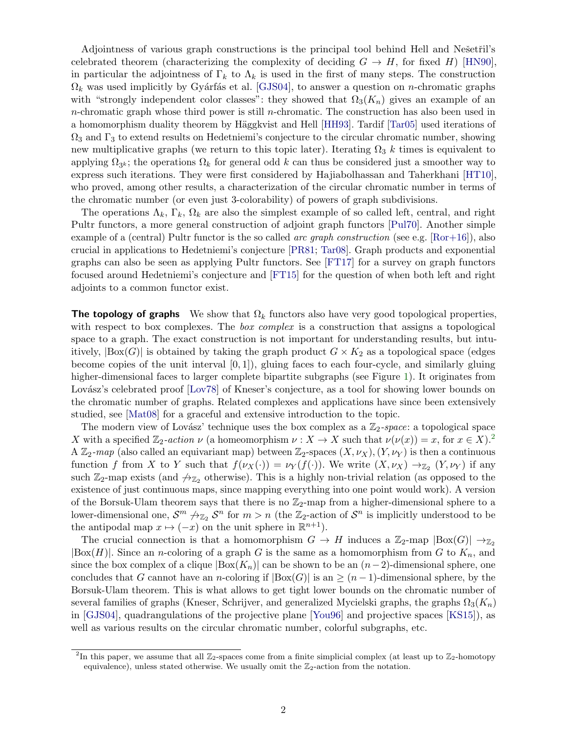Adjointness of various graph constructions is the principal tool behind Hell and Nešetřil's celebrated theorem (characterizing the complexity of deciding  $G \to H$ , for fixed H) [\[HN90\]](#page-20-1), in particular the adjointness of  $\Gamma_k$  to  $\Lambda_k$  is used in the first of many steps. The construction  $\Omega_k$  was used implicitly by Gyárfás et al. [\[GJS04\]](#page-20-2), to answer a question on *n*-chromatic graphs with "strongly independent color classes": they showed that  $\Omega_3(K_n)$  gives an example of an n-chromatic graph whose third power is still n-chromatic. The construction has also been used in a homomorphism duality theorem by Häggkvist and Hell [\[HH93\]](#page-20-3). Tardif [\[Tar05\]](#page-21-0) used iterations of  $\Omega_3$  and  $\Gamma_3$  to extend results on Hedetniemi's conjecture to the circular chromatic number, showing new multiplicative graphs (we return to this topic later). Iterating  $\Omega_3$  k times is equivalent to applying  $\Omega_{3^k}$ ; the operations  $\Omega_k$  for general odd k can thus be considered just a smoother way to express such iterations. They were first considered by Hajiabolhassan and Taherkhani [\[HT10\]](#page-20-4), who proved, among other results, a characterization of the circular chromatic number in terms of the chromatic number (or even just 3-colorability) of powers of graph subdivisions.

The operations  $\Lambda_k$ ,  $\Gamma_k$ ,  $\Omega_k$  are also the simplest example of so called left, central, and right Pultr functors, a more general construction of adjoint graph functors [\[Pul70\]](#page-21-1). Another simple example of a (central) Pultr functor is the so called *arc graph construction* (see e.g.  $[Ror+16]$ ), also crucial in applications to Hedetniemi's conjecture [\[PR81;](#page-21-3) [Tar08\]](#page-21-4). Graph products and exponential graphs can also be seen as applying Pultr functors. See [\[FT17\]](#page-20-0) for a survey on graph functors focused around Hedetniemi's conjecture and [\[FT15\]](#page-20-5) for the question of when both left and right adjoints to a common functor exist.

The topology of graphs We show that  $\Omega_k$  functors also have very good topological properties, with respect to box complexes. The *box complex* is a construction that assigns a topological space to a graph. The exact construction is not important for understanding results, but intuitively,  $|Box(G)|$  is obtained by taking the graph product  $G \times K_2$  as a topological space (edges become copies of the unit interval  $[0, 1]$ , gluing faces to each four-cycle, and similarly gluing higher-dimensional faces to larger complete bipartite subgraphs (see Figure [1\)](#page-2-0). It originates from Lovász's celebrated proof [\[Lov78\]](#page-21-5) of Kneser's conjecture, as a tool for showing lower bounds on the chromatic number of graphs. Related complexes and applications have since been extensively studied, see [\[Mat08\]](#page-21-6) for a graceful and extensive introduction to the topic.

The modern view of Lovász' technique uses the box complex as a  $\mathbb{Z}_2$ -space: a topological space X with a specified  $\mathbb{Z}_2$  $\mathbb{Z}_2$ -action  $\nu$  (a homeomorphism  $\nu : X \to X$  such that  $\nu(\nu(x)) = x$ , for  $x \in X$ ).<sup>2</sup> A  $\mathbb{Z}_2$ -map (also called an equivariant map) between  $\mathbb{Z}_2$ -spaces  $(X, \nu_X), (Y, \nu_Y)$  is then a continuous function f from X to Y such that  $f(\nu_X(\cdot)) = \nu_Y(f(\cdot))$ . We write  $(X, \nu_X) \to_{\mathbb{Z}_2} (Y, \nu_Y)$  if any such  $\mathbb{Z}_2$ -map exists (and  $\mathbb{Z}_2$  otherwise). This is a highly non-trivial relation (as opposed to the existence of just continuous maps, since mapping everything into one point would work). A version of the Borsuk-Ulam theorem says that there is no  $\mathbb{Z}_2$ -map from a higher-dimensional sphere to a lower-dimensional one,  $S^m \nrightarrow_{\mathbb{Z}_2} S^n$  for  $m > n$  (the  $\mathbb{Z}_2$ -action of  $S^n$  is implicitly understood to be the antipodal map  $x \mapsto (-x)$  on the unit sphere in  $\mathbb{R}^{n+1}$ .

The crucial connection is that a homomorphism  $G \to H$  induces a  $\mathbb{Z}_2$ -map  $|Box(G)| \to_{\mathbb{Z}_2}$  $|\text{Box}(H)|$ . Since an *n*-coloring of a graph G is the same as a homomorphism from G to  $K_n$ , and since the box complex of a clique  $|Box(K_n)|$  can be shown to be an  $(n-2)$ -dimensional sphere, one concludes that G cannot have an n-coloring if  $|Box(G)|$  is an  $\geq (n-1)$ -dimensional sphere, by the Borsuk-Ulam theorem. This is what allows to get tight lower bounds on the chromatic number of several families of graphs (Kneser, Schrijver, and generalized Mycielski graphs, the graphs  $\Omega_3(K_n)$ in [\[GJS04\]](#page-20-2), quadrangulations of the projective plane [\[You96\]](#page-21-7) and projective spaces [\[KS15\]](#page-21-8)), as well as various results on the circular chromatic number, colorful subgraphs, etc.

<span id="page-1-0"></span><sup>&</sup>lt;sup>2</sup>In this paper, we assume that all  $\mathbb{Z}_2$ -spaces come from a finite simplicial complex (at least up to  $\mathbb{Z}_2$ -homotopy equivalence), unless stated otherwise. We usually omit the  $\mathbb{Z}_2$ -action from the notation.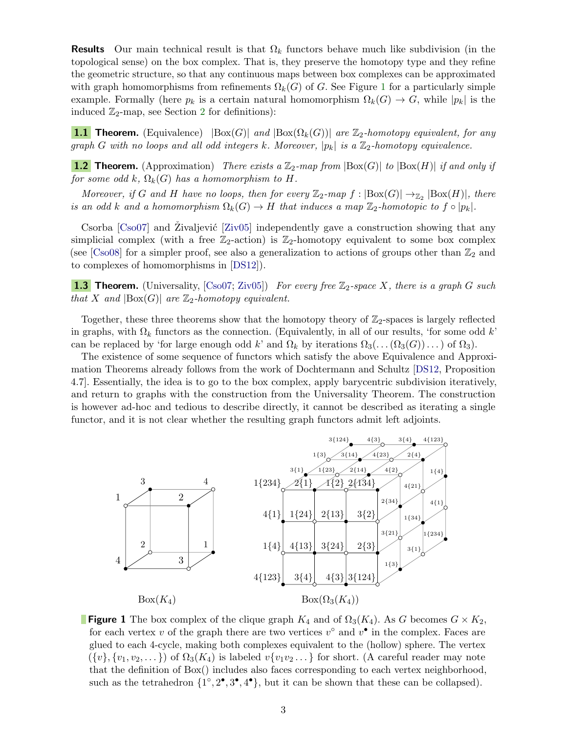**Results** Our main technical result is that  $\Omega_k$  functors behave much like subdivision (in the topological sense) on the box complex. That is, they preserve the homotopy type and they refine the geometric structure, so that any continuous maps between box complexes can be approximated with graph homomorphisms from refinements  $\Omega_k(G)$  of G. See Figure [1](#page-2-0) for a particularly simple example. Formally (here  $p_k$  is a certain natural homomorphism  $\Omega_k(G) \to G$ , while  $|p_k|$  is the induced  $\mathbb{Z}_2$  $\mathbb{Z}_2$ -map, see Section 2 for definitions):

<span id="page-2-1"></span>**1.1 Theorem.** (Equivalence)  $|Box(G)|$  and  $|Box(\Omega_k(G))|$  are  $\mathbb{Z}_2$ -homotopy equivalent, for any graph G with no loops and all odd integers k. Moreover,  $|p_k|$  is a  $\mathbb{Z}_2$ -homotopy equivalence.

<span id="page-2-2"></span>**1.2 Theorem.** (Approximation) There exists a  $\mathbb{Z}_2$ -map from  $\left| \text{Box}(G) \right|$  to  $\left| \text{Box}(H) \right|$  if and only if for some odd k,  $\Omega_k(G)$  has a homomorphism to H.

Moreover, if G and H have no loops, then for every  $\mathbb{Z}_2$ -map  $f : |Box(G)| \rightarrow_{\mathbb{Z}_2} |Box(H)|$ , there is an odd k and a homomorphism  $\Omega_k(G) \to H$  that induces a map  $\mathbb{Z}_2$ -homotopic to  $f \circ |p_k|$ .

Csorba  $\left[{\rm Cos}07\right]$  and Zivaljević  $\left[{\rm Ziv}05\right]$  independently gave a construction showing that any simplicial complex (with a free  $\mathbb{Z}_2$ -action) is  $\mathbb{Z}_2$ -homotopy equivalent to some box complex (see [\[Cso08\]](#page-20-7) for a simpler proof, see also a generalization to actions of groups other than  $\mathbb{Z}_2$  and to complexes of homomorphisms in [\[DS12\]](#page-20-8)).

<span id="page-2-3"></span>**1.3 Theorem.** (Universality,  $[Cs007; Ziv05]$  $[Cs007; Ziv05]$ ) For every free  $\mathbb{Z}_2$ -space X, there is a graph G such that X and  $|\text{Box}(G)|$  are  $\mathbb{Z}_2$ -homotopy equivalent.

Together, these three theorems show that the homotopy theory of  $\mathbb{Z}_2$ -spaces is largely reflected in graphs, with  $\Omega_k$  functors as the connection. (Equivalently, in all of our results, 'for some odd k' can be replaced by 'for large enough odd k' and  $\Omega_k$  by iterations  $\Omega_3(\ldots(\Omega_3(G))\ldots)$  of  $\Omega_3$ ).

The existence of some sequence of functors which satisfy the above Equivalence and Approximation Theorems already follows from the work of Dochtermann and Schultz [\[DS12,](#page-20-8) Proposition 4.7]. Essentially, the idea is to go to the box complex, apply barycentric subdivision iteratively, and return to graphs with the construction from the Universality Theorem. The construction is however ad-hoc and tedious to describe directly, it cannot be described as iterating a single functor, and it is not clear whether the resulting graph functors admit left adjoints.



<span id="page-2-0"></span>**Figure 1** The box complex of the clique graph  $K_4$  and of  $\Omega_3(K_4)$ . As G becomes  $G \times K_2$ , for each vertex v of the graph there are two vertices  $v^{\circ}$  and  $v^{\bullet}$  in the complex. Faces are glued to each 4-cycle, making both complexes equivalent to the (hollow) sphere. The vertex  $({v}, {v_1, v_2, \ldots})$  of  $\Omega_3(K_4)$  is labeled  $v{v_1v_2 \ldots}$  for short. (A careful reader may note that the definition of Box() includes also faces corresponding to each vertex neighborhood, such as the tetrahedron  $\{1^\circ, 2^\bullet, 3^\bullet, 4^\bullet\}$ , but it can be shown that these can be collapsed).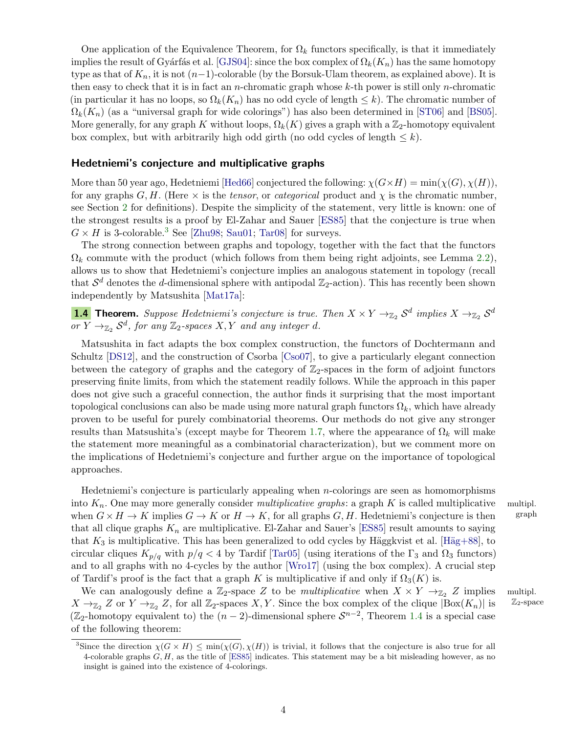One application of the Equivalence Theorem, for  $\Omega_k$  functors specifically, is that it immediately implies the result of Gyárfás et al. [\[GJS04\]](#page-20-2): since the box complex of  $\Omega_k(K_n)$  has the same homotopy type as that of  $K_n$ , it is not  $(n-1)$ -colorable (by the Borsuk-Ulam theorem, as explained above). It is then easy to check that it is in fact an *n*-chromatic graph whose  $k$ -th power is still only *n*-chromatic (in particular it has no loops, so  $\Omega_k(K_n)$  has no odd cycle of length  $\leq k$ ). The chromatic number of  $\Omega_k(K_n)$  (as a "universal graph for wide colorings") has also been determined in [\[ST06\]](#page-21-10) and [\[BS05\]](#page-20-9). More generally, for any graph K without loops,  $\Omega_k(K)$  gives a graph with a  $\mathbb{Z}_2$ -homotopy equivalent box complex, but with arbitrarily high odd girth (no odd cycles of length  $\leq k$ ).

#### Hedetniemi's conjecture and multiplicative graphs

More than 50 year ago, Hedetniemi [\[Hed66\]](#page-20-10) conjectured the following:  $\chi(G\times H) = \min(\chi(G), \chi(H)),$ for any graphs G, H. (Here  $\times$  is the tensor, or categorical product and  $\chi$  is the chromatic number, see Section [2](#page-4-0) for definitions). Despite the simplicity of the statement, very little is known: one of the strongest results is a proof by El-Zahar and Sauer [\[ES85\]](#page-20-11) that the conjecture is true when  $G \times H$  is [3](#page-3-0)-colorable.<sup>3</sup> See [\[Zhu98;](#page-21-11) [Sau01;](#page-21-12) [Tar08\]](#page-21-4) for surveys.

The strong connection between graphs and topology, together with the fact that the functors  $\Omega_k$  commute with the product (which follows from them being right adjoints, see Lemma [2.2\)](#page-7-0), allows us to show that Hedetniemi's conjecture implies an analogous statement in topology (recall that  $S^d$  denotes the d-dimensional sphere with antipodal  $\mathbb{Z}_2$ -action). This has recently been shown independently by Matsushita [\[Mat17a\]](#page-21-13):

<span id="page-3-1"></span>**1.4** Theorem. Suppose Hedetniemi's conjecture is true. Then  $X \times Y \to_{\mathbb{Z}_2} S^d$  implies  $X \to_{\mathbb{Z}_2} S^d$  $\overline{\text{or } Y} \rightarrow_{\mathbb{Z}_2} S^d$ , for any  $\mathbb{Z}_2$ -spaces  $X, Y$  and any integer d.

Matsushita in fact adapts the box complex construction, the functors of Dochtermann and Schultz [\[DS12\]](#page-20-8), and the construction of Csorba [\[Cso07\]](#page-20-6), to give a particularly elegant connection between the category of graphs and the category of  $\mathbb{Z}_2$ -spaces in the form of adjoint functors preserving finite limits, from which the statement readily follows. While the approach in this paper does not give such a graceful connection, the author finds it surprising that the most important topological conclusions can also be made using more natural graph functors  $\Omega_k$ , which have already proven to be useful for purely combinatorial theorems. Our methods do not give any stronger results than Matsushita's (except maybe for Theorem [1.7,](#page-4-1) where the appearance of  $\Omega_k$  will make the statement more meaningful as a combinatorial characterization), but we comment more on the implications of Hedetniemi's conjecture and further argue on the importance of topological approaches.

Hedetniemi's conjecture is particularly appealing when  $n$ -colorings are seen as homomorphisms into  $K_n$ . One may more generally consider *multiplicative graphs*: a graph K is called multiplicative multipl.<br>when  $G \times H \to K$  implies  $G \to K$  or  $H \to K$ , for all graphs G, H. Hedetniemi's conjecture is then graph when  $G \times H \to K$  implies  $G \to K$  or  $H \to K$ , for all graphs  $G, H$ . Hedetniemi's conjecture is then that all clique graphs  $K_n$  are multiplicative. El-Zahar and Sauer's [\[ES85\]](#page-20-11) result amounts to saying that  $K_3$  is multiplicative. This has been generalized to odd cycles by Häggkvist et al. [Häg+88], to circular cliques  $K_{p/q}$  with  $p/q < 4$  by Tardif [\[Tar05\]](#page-21-0) (using iterations of the  $\Gamma_3$  and  $\Omega_3$  functors) and to all graphs with no 4-cycles by the author [\[Wro17\]](#page-21-14) (using the box complex). A crucial step of Tardif's proof is the fact that a graph K is multiplicative if and only if  $\Omega_3(K)$  is.

We can analogously define a  $\mathbb{Z}_2$ -space Z to be *multiplicative* when  $X \times Y \to_{\mathbb{Z}_2} Z$  implies multipl.<br>  $\to_{\mathbb{Z}} Z$  or  $Y \to_{\mathbb{Z}} Z$  for all  $\mathbb{Z}_2$ -spaces X Y. Since the box complex of the clique  $|\text{Box}(K_{\infty})|$  $X \to_{\mathbb{Z}_2} Z$  or  $Y \to_{\mathbb{Z}_2} Z$ , for all  $\mathbb{Z}_2$ -spaces X, Y. Since the box complex of the clique  $|Box(K_n)|$  is ( $\mathbb{Z}_2$ -homotopy equivalent to) the  $(n-2)$ -dimensional sphere  $S^{n-2}$ , Theorem [1.4](#page-3-1) is a special case of the following theorem:

<span id="page-3-0"></span><sup>&</sup>lt;sup>3</sup>Since the direction  $\chi(G \times H) \le \min(\chi(G), \chi(H))$  is trivial, it follows that the conjecture is also true for all 4-colorable graphs  $G, H$ , as the title of [\[ES85\]](#page-20-11) indicates. This statement may be a bit misleading however, as no insight is gained into the existence of 4-colorings.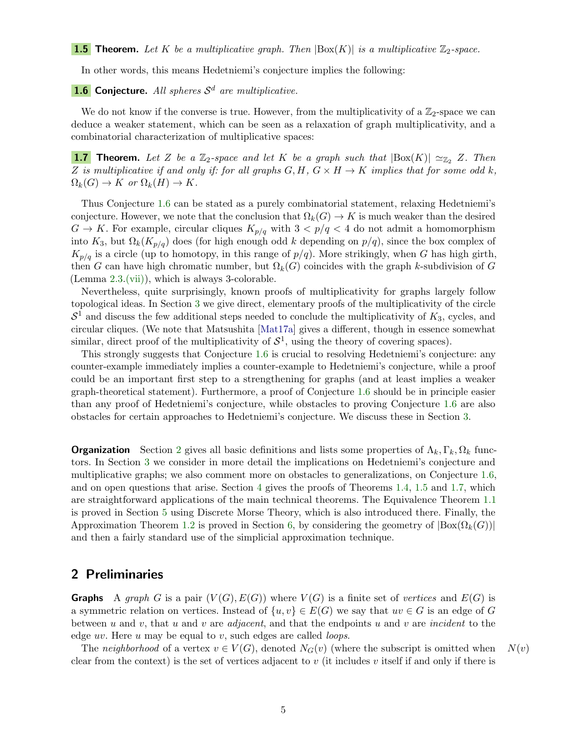<span id="page-4-3"></span>In other words, this means Hedetniemi's conjecture implies the following:

### <span id="page-4-2"></span>**1.6** Conjecture. All spheres  $\mathcal{S}^d$  are multiplicative.

We do not know if the converse is true. However, from the multiplicativity of a  $\mathbb{Z}_2$ -space we can deduce a weaker statement, which can be seen as a relaxation of graph multiplicativity, and a combinatorial characterization of multiplicative spaces:

<span id="page-4-1"></span>**1.7** Theorem. Let Z be a  $\mathbb{Z}_2$ -space and let K be a graph such that  $|\text{Box}(K)| \simeq_{\mathbb{Z}_2} Z$ . Then Z is multiplicative if and only if: for all graphs  $G, H, G \times H \rightarrow K$  implies that for some odd k,  $\Omega_k(G) \to K$  or  $\Omega_k(H) \to K$ .

Thus Conjecture [1.6](#page-4-2) can be stated as a purely combinatorial statement, relaxing Hedetniemi's conjecture. However, we note that the conclusion that  $\Omega_k(G) \to K$  is much weaker than the desired  $G \to K$ . For example, circular cliques  $K_{p/q}$  with  $3 < p/q < 4$  do not admit a homomorphism into K<sub>3</sub>, but  $\Omega_k(K_{p/q})$  does (for high enough odd k depending on  $p/q$ ), since the box complex of  $K_{p/q}$  is a circle (up to homotopy, in this range of  $p/q$ ). More strikingly, when G has high girth, then G can have high chromatic number, but  $\Omega_k(G)$  coincides with the graph k-subdivision of G (Lemma [2.3.](#page-7-1)[\(vii\)\)](#page-7-2), which is always 3-colorable.

Nevertheless, quite surprisingly, known proofs of multiplicativity for graphs largely follow topological ideas. In Section [3](#page-8-0) we give direct, elementary proofs of the multiplicativity of the circle  $S<sup>1</sup>$  and discuss the few additional steps needed to conclude the multiplicativity of  $K<sub>3</sub>$ , cycles, and circular cliques. (We note that Matsushita [\[Mat17a\]](#page-21-13) gives a different, though in essence somewhat similar, direct proof of the multiplicativity of  $S^1$ , using the theory of covering spaces).

This strongly suggests that Conjecture [1.6](#page-4-2) is crucial to resolving Hedetniemi's conjecture: any counter-example immediately implies a counter-example to Hedetniemi's conjecture, while a proof could be an important first step to a strengthening for graphs (and at least implies a weaker graph-theoretical statement). Furthermore, a proof of Conjecture [1.6](#page-4-2) should be in principle easier than any proof of Hedetniemi's conjecture, while obstacles to proving Conjecture [1.6](#page-4-2) are also obstacles for certain approaches to Hedetniemi's conjecture. We discuss these in Section [3.](#page-8-0)

**Organization** Section [2](#page-4-0) gives all basic definitions and lists some properties of  $\Lambda_k, \Gamma_k, \Omega_k$  functors. In Section [3](#page-8-0) we consider in more detail the implications on Hedetniemi's conjecture and multiplicative graphs; we also comment more on obstacles to generalizations, on Conjecture [1.6,](#page-4-2) and on open questions that arise. Section [4](#page-12-0) gives the proofs of Theorems [1.4,](#page-3-1) [1.5](#page-4-3) and [1.7,](#page-4-1) which are straightforward applications of the main technical theorems. The Equivalence Theorem [1.1](#page-2-1) is proved in Section [5](#page-13-0) using Discrete Morse Theory, which is also introduced there. Finally, the Approximation Theorem [1.2](#page-2-2) is proved in Section [6,](#page-17-0) by considering the geometry of  $|Box(\Omega_k(G))|$ and then a fairly standard use of the simplicial approximation technique.

# <span id="page-4-0"></span>2 Preliminaries

**Graphs** A graph G is a pair  $(V(G), E(G))$  where  $V(G)$  is a finite set of vertices and  $E(G)$  is a symmetric relation on vertices. Instead of  $\{u, v\} \in E(G)$  we say that  $uv \in G$  is an edge of G between u and v, that u and v are *adjacent*, and that the endpoints u and v are *incident* to the edge  $uv$ . Here  $u$  may be equal to  $v$ , such edges are called *loops*.

The neighborhood of a vertex  $v \in V(G)$ , denoted  $N_G(v)$  (where the subscript is omitted when  $N(v)$ clear from the context) is the set of vertices adjacent to  $v$  (it includes  $v$  itself if and only if there is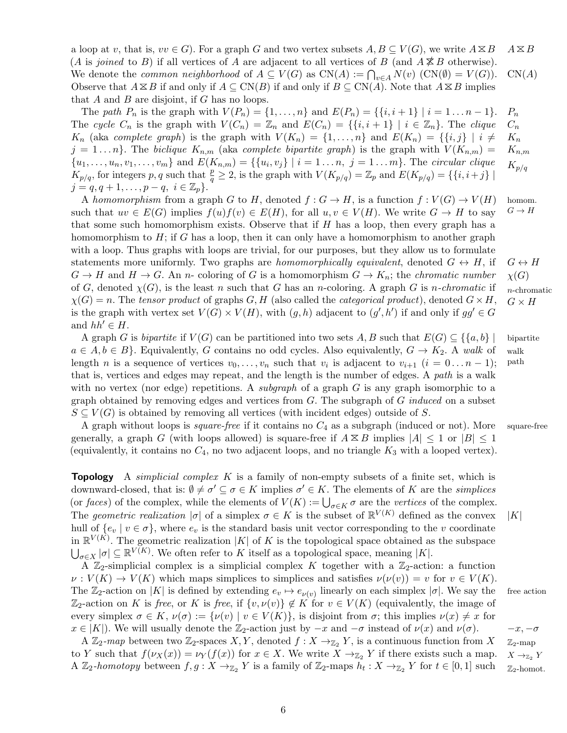a loop at v, that is,  $vv \in G$ . For a graph G and two vertex subsets  $A, B \subseteq V(G)$ , we write  $A \boxtimes B$   $A \boxtimes B$ (A is joined to B) if all vertices of A are adjacent to all vertices of B (and  $A \not\cong B$  otherwise). We denote the *common neighborhood* of  $A \subseteq V(G)$  as  $CN(A) := \bigcap_{v \in A} N(v)$   $(CN(\emptyset) = V(G))$ .  $CN(A)$ Observe that  $A \boxtimes B$  if and only if  $A \subseteq CN(B)$  if and only if  $B \subseteq CN(A)$ . Note that  $A \boxtimes B$  implies that  $A$  and  $B$  are disjoint, if  $G$  has no loops.

The path  $P_n$  is the graph with  $V(P_n) = \{1, ..., n\}$  and  $E(P_n) = \{\{i, i + 1\} | i = 1 ... n - 1\}$ .  $P_n$  $C_n$  $K_n$  $K_{n,m}$ The cycle  $C_n$  is the graph with  $V(C_n) = \mathbb{Z}_n$  and  $E(C_n) = \{\{i, i+1\} \mid i \in \mathbb{Z}_n\}$ . The clique  $K_n$  (aka complete graph) is the graph with  $V(K_n) = \{1, \ldots, n\}$  and  $E(K_n) = \{\{i, j\} | i \neq j\}$  $j = 1 \dots n$ . The biclique  $K_{n,m}$  (aka complete bipartite graph) is the graph with  $V(K_{n,m}) =$  $\{u_1,\ldots,u_n,v_1,\ldots,v_m\}$  and  $E(K_{n,m})=\{\{u_i,v_j\} \mid i=1\ldots n, j=1\ldots m\}$ . The circular clique  $K_{p/q}$  $K_{p/q}$ , for integers p, q such that  $\frac{p}{q} \geq 2$ , is the graph with  $V(K_{p/q}) = \mathbb{Z}_p$  and  $E(K_{p/q}) = \{\{i, i+j\} \mid$  $j = q, q + 1, \ldots, p - q, i \in \mathbb{Z}_p$ .

A homomorphism from a graph G to H, denoted  $f: G \to H$ , is a function  $f: V(G) \to V(H)$  homom. such that  $uv \in E(G)$  implies  $f(u)f(v) \in E(H)$ , for all  $u, v \in V(H)$ . We write  $G \to H$  to say  $G \to H$ that some such homomorphism exists. Observe that if  $H$  has a loop, then every graph has a homomorphism to  $H$ ; if G has a loop, then it can only have a homomorphism to another graph with a loop. Thus graphs with loops are trivial, for our purposes, but they allow us to formulate statements more uniformly. Two graphs are *homomorphically equivalent*, denoted  $G \leftrightarrow H$ , if  $G \leftrightarrow H$  $G \to H$  and  $H \to G$ . An *n*- coloring of G is a homomorphism  $G \to K_n$ ; the *chromatic number*  $\chi(G)$ of G, denoted  $\chi(G)$ , is the least n such that G has an n-coloring. A graph G is n-chromatic if n-chromatic  $\chi(G) = n$ . The tensor product of graphs G, H (also called the categorical product), denoted  $G \times H$ ,  $G \times H$ is the graph with vertex set  $V(G) \times V(H)$ , with  $(g, h)$  adjacent to  $(g', h')$  if and only if  $gg' \in G$ and  $hh' \in H$ .

A graph G is *bipartite* if  $V(G)$  can be partitioned into two sets A, B such that  $E(G) \subseteq \{ \{a, b\} \}$  bipartite  $a \in A, b \in B$ . Equivalently, G contains no odd cycles. Also equivalently,  $G \to K_2$ . A walk of walk length *n* is a sequence of vertices  $v_0, \ldots, v_n$  such that  $v_i$  is adjacent to  $v_{i+1}$   $(i = 0 \ldots n-1)$ ; path that is, vertices and edges may repeat, and the length is the number of edges. A path is a walk with no vertex (nor edge) repetitions. A *subgraph* of a graph  $G$  is any graph isomorphic to a graph obtained by removing edges and vertices from  $G$ . The subgraph of  $G$  induced on a subset  $S \subseteq V(G)$  is obtained by removing all vertices (with incident edges) outside of S.

A graph without loops is *square-free* if it contains no  $C_4$  as a subgraph (induced or not). More square-free generally, a graph G (with loops allowed) is square-free if  $A \otimes B$  implies  $|A| \leq 1$  or  $|B| \leq 1$ (equivalently, it contains no  $C_4$ , no two adjacent loops, and no triangle  $K_3$  with a looped vertex).

**Topology** A *simplicial complex K* is a family of non-empty subsets of a finite set, which is downward-closed, that is:  $\emptyset \neq \sigma' \subseteq \sigma \in K$  implies  $\sigma' \in K$ . The elements of K are the *simplices* (or faces) of the complex, while the elements of  $V(K) := \bigcup_{\sigma \in K} \sigma$  are the vertices of the complex. The geometric realization  $|\sigma|$  of a simplex  $\sigma \in K$  is the subset of  $\mathbb{R}^{V(K)}$  defined as the convex  $|K|$ hull of  $\{e_v | v \in \sigma\}$ , where  $e_v$  is the standard basis unit vector corresponding to the v coordinate in  $\mathbb{R}^{V(K)}$ . The geometric realization |K| of K is the topological space obtained as the subspace  $\bigcup_{\sigma \in X} |\sigma| \subseteq \mathbb{R}^{V(K)}$ . We often refer to K itself as a topological space, meaning |K|.

A  $\mathbb{Z}_2$ -simplicial complex is a simplicial complex K together with a  $\mathbb{Z}_2$ -action: a function  $\nu: V(K) \to V(K)$  which maps simplices to simplices and satisfies  $\nu(\nu(v)) = v$  for  $v \in V(K)$ . The  $\mathbb{Z}_2$ -action on |K| is defined by extending  $e_v \mapsto e_{\nu(v)}$  linearly on each simplex  $|\sigma|$ . We say the free action  $\mathbb{Z}_2$ -action on K is free, or K is free, if  $\{v, \nu(v)\}\notin K$  for  $v \in V(K)$  (equivalently, the image of every simplex  $\sigma \in K$ ,  $\nu(\sigma) := {\nu(v) | v \in V(K)}$ , is disjoint from  $\sigma$ ; this implies  $\nu(x) \neq x$  for  $x \in |K|$ ). We will usually denote the  $\mathbb{Z}_2$ -action just by  $-x$  and  $-\sigma$  instead of  $\nu(x)$  and  $\nu(\sigma)$ .  $-x, -\sigma$ 

A  $\mathbb{Z}_2$ -map between two  $\mathbb{Z}_2$ -spaces X, Y, denoted  $f: X \to_{\mathbb{Z}_2} Y$ , is a continuous function from  $X \mathbb{Z}_2$ -map to Y such that  $f(\nu_X(x)) = \nu_Y(f(x))$  for  $x \in X$ . We write  $X \to_{\mathbb{Z}_2} Y$  if there exists such a map.  $X \to_{\mathbb{Z}_2} Y$ A  $\mathbb{Z}_2$ -homotopy between  $f, g: X \to_{\mathbb{Z}_2} Y$  is a family of  $\mathbb{Z}_2$ -maps  $h_t: X \to_{\mathbb{Z}_2} Y$  for  $t \in [0,1]$  such  $\mathbb{Z}_2$ -homot.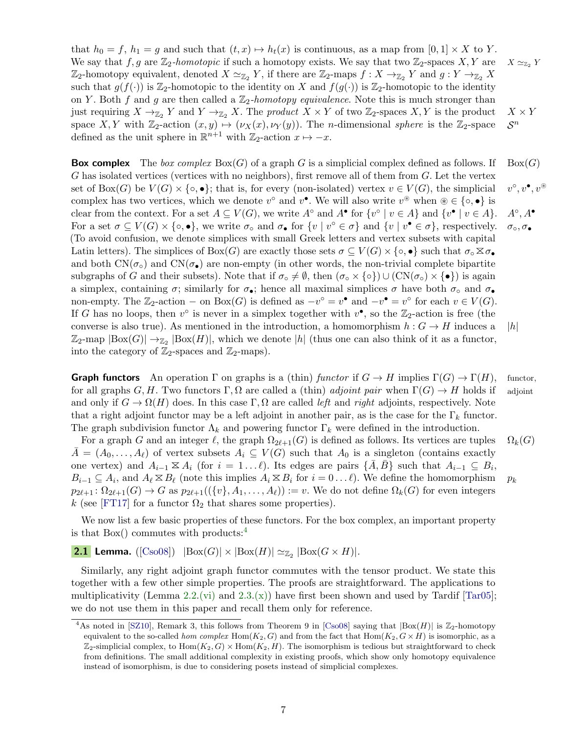that  $h_0 = f$ ,  $h_1 = g$  and such that  $(t, x) \mapsto h_t(x)$  is continuous, as a map from  $[0, 1] \times X$  to Y. We say that f, g are  $\mathbb{Z}_2$ -homotopic if such a homotopy exists. We say that two  $\mathbb{Z}_2$ -spaces  $X, Y$  are  $X \simeq_{\mathbb{Z}_2} Y$  $\mathbb{Z}_2$ -homotopy equivalent, denoted  $X \simeq_{\mathbb{Z}_2} Y$ , if there are  $\mathbb{Z}_2$ -maps  $f : X \to_{\mathbb{Z}_2} Y$  and  $g : Y \to_{\mathbb{Z}_2} X$ such that  $g(f(\cdot))$  is  $\mathbb{Z}_2$ -homotopic to the identity on X and  $f(g(\cdot))$  is  $\mathbb{Z}_2$ -homotopic to the identity on Y. Both f and g are then called a  $\mathbb{Z}_2$ -homotopy equivalence. Note this is much stronger than just requiring  $X \to_{\mathbb{Z}_2} Y$  and  $Y \to_{\mathbb{Z}_2} X$ . The product  $X \times Y$  of two  $\mathbb{Z}_2$ -spaces  $X, Y$  is the product  $X \times Y$ space X, Y with  $\mathbb{Z}_2$ -action  $(x, y) \mapsto (\nu_X(x), \nu_Y(y))$ . The n-dimensional sphere is the  $\mathbb{Z}_2$ -space  $S^n$ defined as the unit sphere in  $\mathbb{R}^{n+1}$  with  $\mathbb{Z}_2$ -action  $x \mapsto -x$ .

**Box complex** The box complex Box(G) of a graph G is a simplicial complex defined as follows. If Box(G) G has isolated vertices (vertices with no neighbors), first remove all of them from  $G$ . Let the vertex set of  $Box(G)$  be  $V(G) \times \{ \circ, \bullet \}$ ; that is, for every (non-isolated) vertex  $v \in V(G)$ , the simplicial  $\circ, v^{\bullet}, v^{\circledast}$ complex has two vertices, which we denote  $v^{\circ}$  and  $v^{\bullet}$ . We will also write  $v^{\circledast}$  when  $\circledast \in \{ \circ, \bullet \}$  is clear from the context. For a set  $A \subseteq V(G)$ , we write  $A^{\circ}$  and  $A^{\bullet}$  for  $\{v^{\circ} \mid v \in A\}$  and  $\{v^{\bullet} \mid v \in A\}$ .  $A^{\circ}$  $A^\circ$ ,  $A^\bullet$ For a set  $\sigma \subseteq V(G) \times \{\circ, \bullet\}$ , we write  $\sigma_{\circ}$  and  $\sigma_{\bullet}$  for  $\{v \mid v^{\circ} \in \sigma\}$  and  $\{v \mid v^{\bullet} \in \sigma\}$ , respectively.  $\sigma_{\circ}, \sigma_{\bullet}$ (To avoid confusion, we denote simplices with small Greek letters and vertex subsets with capital Latin letters). The simplices of Box(G) are exactly those sets  $\sigma \subseteq V(G) \times \{\circ, \bullet\}$  such that  $\sigma_{\circ} \boxtimes \sigma_{\bullet}$ and both  $CN(\sigma_{\bullet})$  and  $CN(\sigma_{\bullet})$  are non-empty (in other words, the non-trivial complete bipartite subgraphs of G and their subsets). Note that if  $\sigma_{\circ} \neq \emptyset$ , then  $(\sigma_{\circ} \times {\{\circ\}}) \cup (\mathrm{CN}(\sigma_{\circ}) \times {\{\bullet\}})$  is again a simplex, containing  $\sigma$ ; similarly for  $\sigma_{\bullet}$ ; hence all maximal simplices  $\sigma$  have both  $\sigma_{\circ}$  and  $\sigma_{\bullet}$ non-empty. The  $\mathbb{Z}_2$ -action – on Box(G) is defined as  $-v^\circ = v^\bullet$  and  $-v^\bullet = v^\circ$  for each  $v \in V(G)$ . If G has no loops, then  $v^{\circ}$  is never in a simplex together with  $v^{\bullet}$ , so the  $\mathbb{Z}_2$ -action is free (the converse is also true). As mentioned in the introduction, a homomorphism  $h : G \to H$  induces a  $|h|$  $\mathbb{Z}_2$ -map  $|\text{Box}(G)| \to_{\mathbb{Z}_2} |\text{Box}(H)|$ , which we denote |h| (thus one can also think of it as a functor, into the category of  $\mathbb{Z}_2$ -spaces and  $\mathbb{Z}_2$ -maps).

**Graph functors** An operation  $\Gamma$  on graphs is a (thin) functor if  $G \to H$  implies  $\Gamma(G) \to \Gamma(H)$ , functor, for all graphs G, H. Two functors  $\Gamma, \Omega$  are called a (thin) *adjoint pair* when  $\Gamma(G) \to H$  holds if adjoint and only if  $G \to \Omega(H)$  does. In this case  $\Gamma, \Omega$  are called *left* and *right* adjoints, respectively. Note that a right adjoint functor may be a left adjoint in another pair, as is the case for the  $\Gamma_k$  functor. The graph subdivision functor  $\Lambda_k$  and powering functor  $\Gamma_k$  were defined in the introduction.

For a graph G and an integer  $\ell$ , the graph  $\Omega_{2\ell+1}(G)$  is defined as follows. Its vertices are tuples  $\Omega_k(G)$  $\bar{A} = (A_0, \ldots, A_\ell)$  of vertex subsets  $A_i \subseteq V(G)$  such that  $A_0$  is a singleton (contains exactly one vertex) and  $A_{i-1} \boxtimes A_i$  (for  $i = 1 \dots \ell$ ). Its edges are pairs  $\{\overline{A}, \overline{B}\}$  such that  $A_{i-1} \subseteq B_i$ ,  $B_{i-1} \subseteq A_i$ , and  $A_\ell \boxtimes B_\ell$  (note this implies  $A_i \boxtimes B_i$  for  $i = 0 \dots \ell$ ). We define the homomorphism  $p_k$  $p_{2\ell+1} : \Omega_{2\ell+1}(G) \to G$  as  $p_{2\ell+1}(\{\{v\}, A_1, \ldots, A_\ell\}) := v$ . We do not define  $\Omega_k(G)$  for even integers k (see [\[FT17\]](#page-20-0) for a functor  $\Omega_2$  that shares some properties).

We now list a few basic properties of these functors. For the box complex, an important property is that  $Box()$  commutes with products:<sup>[4](#page-6-0)</sup>

<span id="page-6-1"></span>**2.1 Lemma.** ([\[Cso08\]](#page-20-7))  $|\text{Box}(G)| \times |\text{Box}(H)| \simeq_{\mathbb{Z}_2} |\text{Box}(G \times H)|$ .

Similarly, any right adjoint graph functor commutes with the tensor product. We state this together with a few other simple properties. The proofs are straightforward. The applications to multiplicativity (Lemma [2.2](#page-7-0)[.\(vi\)](#page-7-3) and [2.3.](#page-7-1)[\(x\)\)](#page-7-4) have first been shown and used by Tardif [\[Tar05\]](#page-21-0); we do not use them in this paper and recall them only for reference.

<span id="page-6-0"></span><sup>&</sup>lt;sup>4</sup>As noted in [\[SZ10\]](#page-21-15), Remark 3, this follows from Theorem 9 in [\[Cso08\]](#page-20-7) saying that  $|Box(H)|$  is  $\mathbb{Z}_2$ -homotopy equivalent to the so-called *hom complex* Hom( $K_2$ , G) and from the fact that Hom( $K_2$ ,  $G \times H$ ) is isomorphic, as a  $\mathbb{Z}_2$ -simplicial complex, to  $\text{Hom}(K_2, G) \times \text{Hom}(K_2, H)$ . The isomorphism is tedious but straightforward to check from definitions. The small additional complexity in existing proofs, which show only homotopy equivalence instead of isomorphism, is due to considering posets instead of simplicial complexes.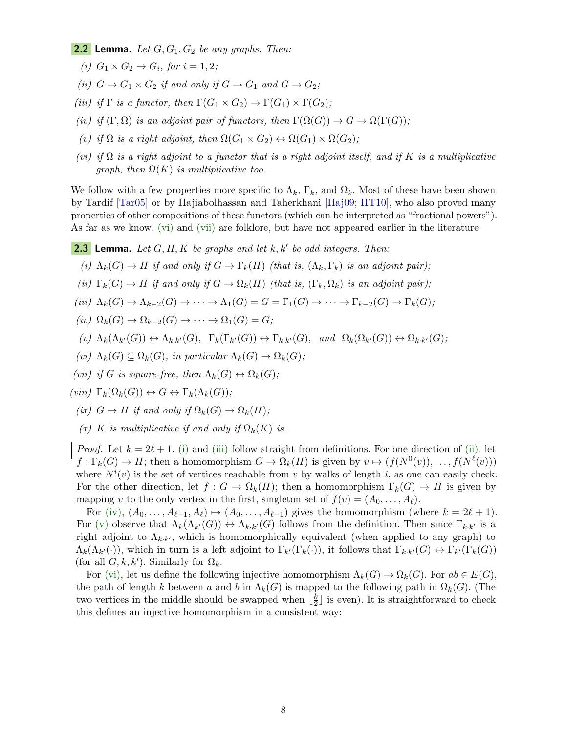<span id="page-7-0"></span>**2.2 Lemma.** Let  $G, G_1, G_2$  be any graphs. Then:

- (i)  $G_1 \times G_2 \rightarrow G_i$ , for  $i = 1, 2$ ;
- (ii)  $G \to G_1 \times G_2$  if and only if  $G \to G_1$  and  $G \to G_2$ ;
- (iii) if  $\Gamma$  is a functor, then  $\Gamma(G_1 \times G_2) \to \Gamma(G_1) \times \Gamma(G_2)$ ;
- <span id="page-7-11"></span>(iv) if  $(\Gamma, \Omega)$  is an adjoint pair of functors, then  $\Gamma(\Omega(G)) \to G \to \Omega(\Gamma(G));$
- (v) if  $\Omega$  is a right adjoint, then  $\Omega(G_1 \times G_2) \leftrightarrow \Omega(G_1) \times \Omega(G_2)$ ;
- <span id="page-7-3"></span>(vi) if  $\Omega$  is a right adjoint to a functor that is a right adjoint itself, and if K is a multiplicative graph, then  $\Omega(K)$  is multiplicative too.

We follow with a few properties more specific to  $\Lambda_k$ ,  $\Gamma_k$ , and  $\Omega_k$ . Most of these have been shown by Tardif [\[Tar05\]](#page-21-0) or by Hajiabolhassan and Taherkhani [\[Haj09;](#page-20-13) [HT10\]](#page-20-4), who also proved many properties of other compositions of these functors (which can be interpreted as "fractional powers"). As far as we know, [\(vi\)](#page-7-5) and [\(vii\)](#page-7-2) are folklore, but have not appeared earlier in the literature.

<span id="page-7-1"></span>**2.3** Lemma. Let  $G, H, K$  be graphs and let  $k, k'$  be odd integers. Then:

- <span id="page-7-6"></span>(i)  $\Lambda_k(G) \to H$  if and only if  $G \to \Gamma_k(H)$  (that is,  $(\Lambda_k, \Gamma_k)$  is an adjoint pair);
- <span id="page-7-8"></span>(ii)  $\Gamma_k(G) \to H$  if and only if  $G \to \Omega_k(H)$  (that is,  $(\Gamma_k, \Omega_k)$  is an adjoint pair);
- <span id="page-7-7"></span>(iii)  $\Lambda_k(G) \to \Lambda_{k-2}(G) \to \cdots \to \Lambda_1(G) = G = \Gamma_1(G) \to \cdots \to \Gamma_{k-2}(G) \to \Gamma_k(G);$
- <span id="page-7-9"></span> $(iv)$   $\Omega_k(G) \to \Omega_{k-2}(G) \to \cdots \to \Omega_1(G) = G;$
- <span id="page-7-10"></span> $(v) \ \Lambda_k(\Lambda_{k'}(G)) \leftrightarrow \Lambda_{k \cdot k'}(G), \ \ \Gamma_k(\Gamma_{k'}(G)) \leftrightarrow \Gamma_{k \cdot k'}(G), \ \ \text{and} \ \ \Omega_k(\Omega_{k'}(G)) \leftrightarrow \Omega_{k \cdot k'}(G);$
- <span id="page-7-5"></span>(vi)  $\Lambda_k(G) \subseteq \Omega_k(G)$ , in particular  $\Lambda_k(G) \to \Omega_k(G)$ ;
- <span id="page-7-2"></span>(vii) if G is square-free, then  $\Lambda_k(G) \leftrightarrow \Omega_k(G)$ ;
- <span id="page-7-13"></span><span id="page-7-12"></span> $(viii) \Gamma_k(\Omega_k(G)) \leftrightarrow G \leftrightarrow \Gamma_k(\Lambda_k(G));$ 
	- (ix)  $G \to H$  if and only if  $\Omega_k(G) \to \Omega_k(H)$ ;
	- (x) K is multiplicative if and only if  $\Omega_k(K)$  is.

<span id="page-7-4"></span>*Proof.* Let  $k = 2\ell + 1$ . [\(i\)](#page-7-6) and [\(iii\)](#page-7-7) follow straight from definitions. For one direction of [\(ii\),](#page-7-8) let  $f: \Gamma_k(G) \to H$ ; then a homomorphism  $G \to \Omega_k(H)$  is given by  $v \mapsto (f(N^0(v)), \ldots, f(N^{\ell}(v)))$ where  $N^{i}(v)$  is the set of vertices reachable from v by walks of length i, as one can easily check. For the other direction, let  $f: G \to \Omega_k(H)$ ; then a homomorphism  $\Gamma_k(G) \to H$  is given by mapping v to the only vertex in the first, singleton set of  $f(v) = (A_0, \ldots, A_\ell)$ .

For [\(iv\),](#page-7-9)  $(A_0, \ldots, A_{\ell-1}, A_{\ell}) \mapsto (A_0, \ldots, A_{\ell-1})$  gives the homomorphism (where  $k = 2\ell + 1$ ). For [\(v\)](#page-7-10) observe that  $\Lambda_k(\Lambda_{k'}(G)) \leftrightarrow \Lambda_{k\cdot k'}(G)$  follows from the definition. Then since  $\Gamma_{k\cdot k'}$  is a right adjoint to  $\Lambda_{k,k'}$ , which is homomorphically equivalent (when applied to any graph) to  $\Lambda_k(\Lambda_{k'}(\cdot))$ , which in turn is a left adjoint to  $\Gamma_{k'}(\Gamma_k(\cdot))$ , it follows that  $\Gamma_{k\cdot k'}(G) \leftrightarrow \Gamma_{k'}(\Gamma_k(G))$ (for all  $G, k, k'$ ). Similarly for  $\Omega_k$ .

For [\(vi\),](#page-7-5) let us define the following injective homomorphism  $\Lambda_k(G) \to \Omega_k(G)$ . For  $ab \in E(G)$ , the path of length k between a and b in  $\Lambda_k(G)$  is mapped to the following path in  $\Omega_k(G)$ . (The two vertices in the middle should be swapped when  $\frac{k}{2}$  $\frac{k}{2}$  is even). It is straightforward to check this defines an injective homomorphism in a consistent way: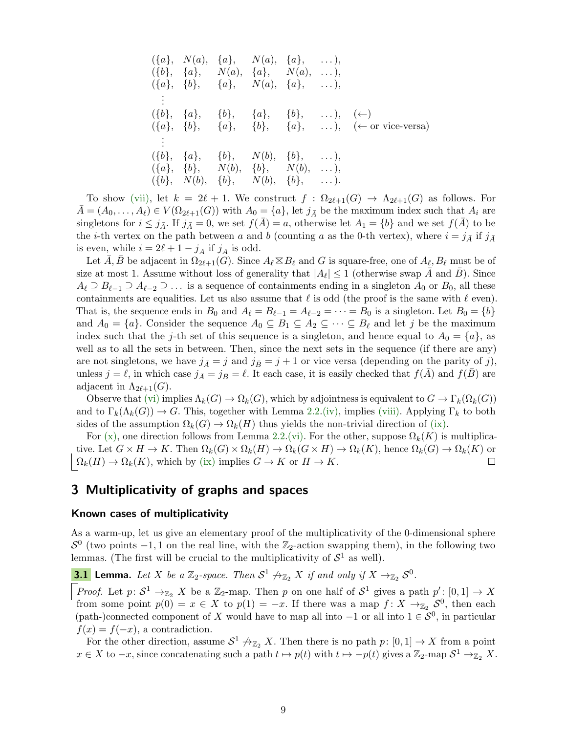$$
(\{a\}, N(a), \{a\}, N(a), \{a\}, \ldots),
$$
  
\n
$$
(\{b\}, \{a\}, N(a), \{a\}, N(a), \ldots),
$$
  
\n
$$
(\{a\}, \{b\}, \{a\}, N(a), \{a\}, \ldots),
$$
  
\n
$$
\vdots
$$
  
\n
$$
(\{b\}, \{a\}, \{b\}, \{a\}, \{b\}, \ldots), (\leftarrow)
$$
  
\n
$$
(\{a\}, \{b\}, \{a\}, \{b\}, \{a\}, \ldots), (\leftarrow)
$$
  
\n
$$
\vdots
$$
  
\n
$$
(\{b\}, \{a\}, \{b\}, N(b), \{b\}, \ldots), (\leftarrow)
$$
or vice-versa)  
\n
$$
\vdots
$$
  
\n
$$
(\{a\}, \{b\}, N(b), \{b\}, \ldots),
$$
  
\n
$$
(\{a\}, N(b), \{b\}, N(b), \ldots),
$$
  
\n
$$
(\{b\}, N(b), \{b\}, N(b), \{b\}, \ldots).
$$

To show [\(vii\),](#page-7-2) let  $k = 2\ell + 1$ . We construct  $f : \Omega_{2\ell+1}(G) \to \Lambda_{2\ell+1}(G)$  as follows. For  $\overline{A} = (A_0, \ldots, A_\ell) \in V(\Omega_{2\ell+1}(G))$  with  $A_0 = \{a\}$ , let  $j_{\overline{A}}$  be the maximum index such that  $A_i$  are singletons for  $i \leq j_{\bar{A}}$ . If  $j_{\bar{A}} = 0$ , we set  $f(\bar{A}) = a$ , otherwise let  $A_1 = \{b\}$  and we set  $f(\bar{A})$  to be the *i*-th vertex on the path between a and b (counting a as the 0-th vertex), where  $i = j_{\bar{A}}$  if  $j_{\bar{A}}$ is even, while  $i = 2\ell + 1 - j_{\bar{A}}$  if  $j_{\bar{A}}$  is odd.

Let  $\overline{A}, \overline{B}$  be adjacent in  $\Omega_{2\ell+1}(G)$ . Since  $A_{\ell} \boxtimes B_{\ell}$  and G is square-free, one of  $A_{\ell}, B_{\ell}$  must be of size at most 1. Assume without loss of generality that  $|A_\ell| \leq 1$  (otherwise swap  $\overline{A}$  and  $\overline{B}$ ). Since  $A_\ell \supseteq B_{\ell-1} \supseteq A_{\ell-2} \supseteq \ldots$  is a sequence of containments ending in a singleton  $A_0$  or  $B_0$ , all these containments are equalities. Let us also assume that  $\ell$  is odd (the proof is the same with  $\ell$  even). That is, the sequence ends in  $B_0$  and  $A_\ell = B_{\ell-1} = A_{\ell-2} = \cdots = B_0$  is a singleton. Let  $B_0 = \{b\}$ and  $A_0 = \{a\}$ . Consider the sequence  $A_0 \subseteq B_1 \subseteq A_2 \subseteq \cdots \subseteq B_\ell$  and let j be the maximum index such that the j-th set of this sequence is a singleton, and hence equal to  $A_0 = \{a\}$ , as well as to all the sets in between. Then, since the next sets in the sequence (if there are any) are not singletons, we have  $j_{\bar{A}} = j$  and  $j_{\bar{B}} = j + 1$  or vice versa (depending on the parity of j), unless  $j = \ell$ , in which case  $j_{\bar{A}} = j_{\bar{B}} = \ell$ . It each case, it is easily checked that  $f(A)$  and  $f(B)$  are adjacent in  $\Lambda_{2\ell+1}(G)$ .

Observe that [\(vi\)](#page-7-5) implies  $\Lambda_k(G) \to \Omega_k(G)$ , which by adjointness is equivalent to  $G \to \Gamma_k(\Omega_k(G))$ and to  $\Gamma_k(\Lambda_k(G)) \to G$ . This, together with Lemma [2.2](#page-7-0)[.\(iv\),](#page-7-11) implies [\(viii\).](#page-7-12) Applying  $\Gamma_k$  to both sides of the assumption  $\Omega_k(G) \to \Omega_k(H)$  thus yields the non-trivial direction of [\(ix\).](#page-7-13)

For [\(x\),](#page-7-4) one direction follows from Lemma [2.2.](#page-7-0)[\(vi\).](#page-7-3) For the other, suppose  $\Omega_k(K)$  is multiplicative. Let  $G \times H \to K$ . Then  $\Omega_k(G) \times \Omega_k(H) \to \Omega_k(G \times H) \to \Omega_k(K)$ , hence  $\Omega_k(G) \to \Omega_k(K)$  or  $\big| \Omega_k(H) \to \Omega_k(K)$ , which by [\(ix\)](#page-7-13) implies  $G \to K$  or  $H \to K$ .  $\Box$ 

# <span id="page-8-0"></span>3 Multiplicativity of graphs and spaces

### Known cases of multiplicativity

As a warm-up, let us give an elementary proof of the multiplicativity of the 0-dimensional sphere  $S^0$  (two points -1, 1 on the real line, with the  $\mathbb{Z}_2$ -action swapping them), in the following two lemmas. (The first will be crucial to the multiplicativity of  $S^1$  as well).

<span id="page-8-1"></span>**3.1 Lemma.** Let X be a  $\mathbb{Z}_2$ -space. Then  $S^1 \nrightarrow_{\mathbb{Z}_2} X$  if and only if  $X \rightarrow_{\mathbb{Z}_2} S^0$ .

*Proof.* Let  $p: S^1 \to \mathbb{Z}_2$  X be a  $\mathbb{Z}_2$ -map. Then p on one half of  $S^1$  gives a path  $p': [0,1] \to X$ from some point  $p(0) = x \in X$  to  $p(1) = -x$ . If there was a map  $f: X \to Z_2 \mathcal{S}^0$ , then each (path-)connected component of X would have to map all into  $-1$  or all into  $1 \in S^0$ , in particular  $f(x) = f(-x)$ , a contradiction.

For the other direction, assume  $S^1 \nrightarrow \mathbb{Z}_2 X$ . Then there is no path  $p: [0,1] \rightarrow X$  from a point  $x \in X$  to  $-x$ , since concatenating such a path  $t \mapsto p(t)$  with  $t \mapsto -p(t)$  gives a  $\mathbb{Z}_2$ -map  $S^1 \to_{\mathbb{Z}_2} X$ .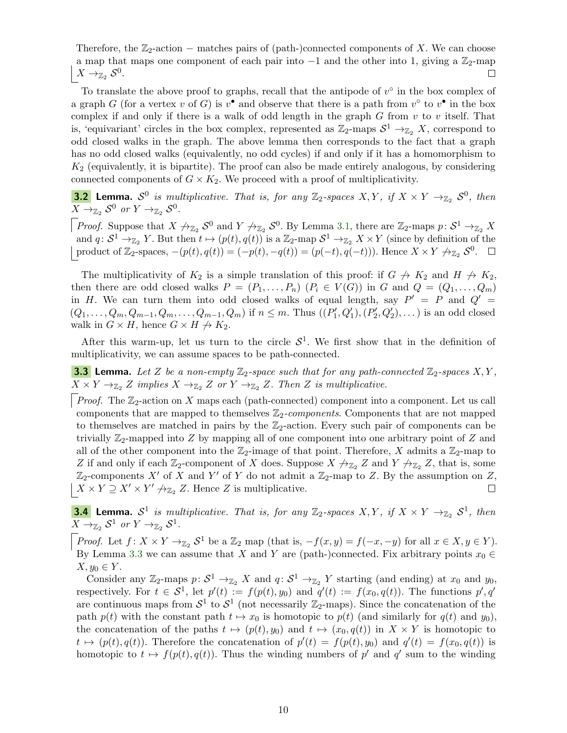Therefore, the  $\mathbb{Z}_2$ -action – matches pairs of (path-)connected components of X. We can choose a map that maps one component of each pair into  $-1$  and the other into 1, giving a  $\mathbb{Z}_2$ -map  $X \rightarrow_{\mathbb{Z}_2} S^0$ .  $\Box$ 

To translate the above proof to graphs, recall that the antipode of  $v^{\circ}$  in the box complex of a graph G (for a vertex v of G) is  $v^{\bullet}$  and observe that there is a path from  $v^{\circ}$  to  $v^{\bullet}$  in the box complex if and only if there is a walk of odd length in the graph  $G$  from  $v$  to  $v$  itself. That is, 'equivariant' circles in the box complex, represented as  $\mathbb{Z}_2$ -maps  $S^1 \to_{\mathbb{Z}_2} X$ , correspond to odd closed walks in the graph. The above lemma then corresponds to the fact that a graph has no odd closed walks (equivalently, no odd cycles) if and only if it has a homomorphism to  $K_2$  (equivalently, it is bipartite). The proof can also be made entirely analogous, by considering connected components of  $G \times K_2$ . We proceed with a proof of multiplicativity.

**3.2 Lemma.**  $S^0$  is multiplicative. That is, for any  $\mathbb{Z}_2$ -spaces  $X, Y, if X \times Y \to_{\mathbb{Z}_2} S^0$ , then  $X \to_{\mathbb{Z}_2} S^0$  or  $Y \to_{\mathbb{Z}_2} S^0$ .

*Proof.* Suppose that  $X \nrightarrow_{\mathbb{Z}_2} \mathcal{S}^0$  and  $Y \nrightarrow_{\mathbb{Z}_2} \mathcal{S}^0$ . By Lemma [3.1,](#page-8-1) there are  $\mathbb{Z}_2$ -maps  $p: \mathcal{S}^1 \rightarrow_{\mathbb{Z}_2} X$ and  $q: \mathcal{S}^1 \to_{\mathbb{Z}_2} Y$ . But then  $t \mapsto (p(t), q(t))$  is a  $\mathbb{Z}_2$ -map  $\mathcal{S}^1 \to_{\mathbb{Z}_2} X \times Y$  (since by definition of the product of  $\mathbb{Z}_2$ -spaces,  $-(p(t), q(t)) = (-p(t), -q(t)) = (p(-t), q(-t))$ . Hence  $X \times Y \nrightarrow_{\mathbb{Z}_2} S^0$ .

The multiplicativity of  $K_2$  is a simple translation of this proof: if  $G \nrightarrow K_2$  and  $H \nrightarrow K_2$ , then there are odd closed walks  $P = (P_1, \ldots, P_n)$   $(P_i \in V(G))$  in G and  $Q = (Q_1, \ldots, Q_m)$ in H. We can turn them into odd closed walks of equal length, say  $P' = P$  and  $Q' =$  $(Q_1, \ldots, Q_m, Q_{m-1}, Q_m, \ldots, Q_{m-1}, Q_m)$  if  $n \leq m$ . Thus  $((P'_1, Q'_1), (P'_2, Q'_2), \ldots)$  is an odd closed walk in  $G \times H$ , hence  $G \times H \nightharpoonup K_2$ .

After this warm-up, let us turn to the circle  $S^1$ . We first show that in the definition of multiplicativity, we can assume spaces to be path-connected.

<span id="page-9-0"></span>**3.3 Lemma.** Let Z be a non-empty  $\mathbb{Z}_2$ -space such that for any path-connected  $\mathbb{Z}_2$ -spaces  $X, Y$ ,  $X \times Y \rightarrow_{\mathbb{Z}_2} Z$  implies  $X \rightarrow_{\mathbb{Z}_2} Z$  or  $Y \rightarrow_{\mathbb{Z}_2} Z$ . Then Z is multiplicative.

*Proof.* The  $\mathbb{Z}_2$ -action on X maps each (path-connected) component into a component. Let us call components that are mapped to themselves  $\mathbb{Z}_2$ -components. Components that are not mapped to themselves are matched in pairs by the  $\mathbb{Z}_2$ -action. Every such pair of components can be trivially  $\mathbb{Z}_2$ -mapped into Z by mapping all of one component into one arbitrary point of Z and all of the other component into the  $\mathbb{Z}_2$ -image of that point. Therefore, X admits a  $\mathbb{Z}_2$ -map to Z if and only if each  $\mathbb{Z}_2$ -component of X does. Suppose  $X \nrightarrow_{\mathbb{Z}_2} Z$  and  $Y \nrightarrow_{\mathbb{Z}_2} Z$ , that is, some  $\mathbb{Z}_2$ -components X' of X and Y' of Y do not admit a  $\mathbb{Z}_2$ -map to Z. By the assumption on Z,  $X \times Y \supseteq X' \times Y' \nrightarrow Z_2 Z$ . Hence Z is multiplicative.  $\Box$ 

<span id="page-9-1"></span>**3.4 Lemma.**  $S^1$  is multiplicative. That is, for any  $\mathbb{Z}_2$ -spaces  $X, Y, if X \times Y \to_{\mathbb{Z}_2} S^1$ , then  $X \to_{\mathbb{Z}_2} S^1$  or  $Y \to_{\mathbb{Z}_2} S^1$ .

*Proof.* Let  $f: X \times Y \to \mathbb{Z}_2 S^1$  be a  $\mathbb{Z}_2$  map (that is,  $-f(x, y) = f(-x, -y)$  for all  $x \in X, y \in Y$ ). By Lemma [3.3](#page-9-0) we can assume that X and Y are (path-)connected. Fix arbitrary points  $x_0 \in$  $X, y_0 \in Y$ .

Consider any  $\mathbb{Z}_2$ -maps  $p: \mathcal{S}^1 \to_{\mathbb{Z}_2} X$  and  $q: \mathcal{S}^1 \to_{\mathbb{Z}_2} Y$  starting (and ending) at  $x_0$  and  $y_0$ , respectively. For  $t \in S^1$ , let  $p'(t) := f(p(t), y_0)$  and  $q'(t) := f(x_0, q(t))$ . The functions  $p', q'$ are continuous maps from  $S^1$  to  $S^1$  (not necessarily  $\mathbb{Z}_2$ -maps). Since the concatenation of the path  $p(t)$  with the constant path  $t \mapsto x_0$  is homotopic to  $p(t)$  (and similarly for  $q(t)$  and  $y_0$ ), the concatenation of the paths  $t \mapsto (p(t), y_0)$  and  $t \mapsto (x_0, q(t))$  in  $X \times Y$  is homotopic to  $t \mapsto (p(t), q(t))$ . Therefore the concatenation of  $p'(t) = f(p(t), y_0)$  and  $q'(t) = f(x_0, q(t))$  is homotopic to  $t \mapsto f(p(t), q(t))$ . Thus the winding numbers of p' and q' sum to the winding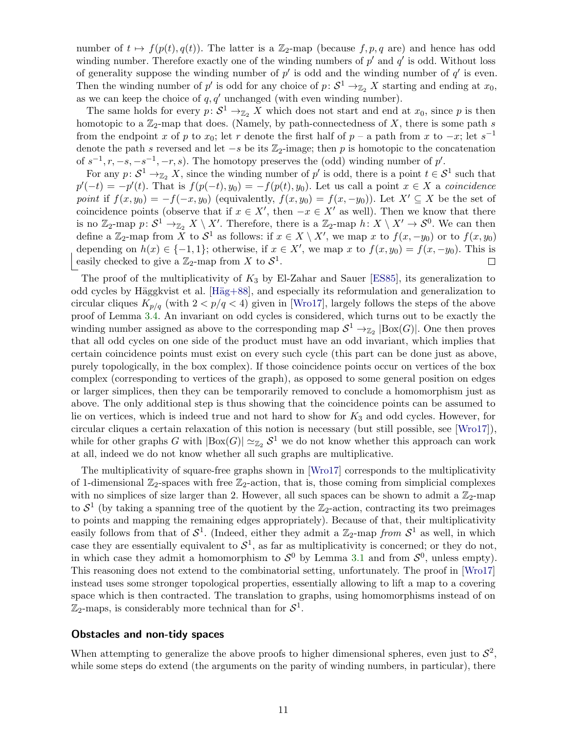number of  $t \mapsto f(p(t), q(t))$ . The latter is a Z<sub>2</sub>-map (because f, p, q are) and hence has odd winding number. Therefore exactly one of the winding numbers of  $p'$  and  $q'$  is odd. Without loss of generality suppose the winding number of  $p'$  is odd and the winding number of  $q'$  is even. Then the winding number of p' is odd for any choice of  $p: S^1 \to Z_2 X$  starting and ending at  $x_0$ , as we can keep the choice of  $q, q'$  unchanged (with even winding number).

The same holds for every  $p: \mathcal{S}^1 \to \mathbb{Z}_2$  X which does not start and end at  $x_0$ , since p is then homotopic to a  $\mathbb{Z}_2$ -map that does. (Namely, by path-connectedness of X, there is some path s from the endpoint x of p to  $x_0$ ; let r denote the first half of p – a path from x to –x; let  $s^{-1}$ denote the path s reversed and let  $-s$  be its  $\mathbb{Z}_2$ -image; then p is homotopic to the concatenation of  $s^{-1}, r, -s, -s^{-1}, -r, s$ ). The homotopy preserves the (odd) winding number of p'.

For any  $p: \mathcal{S}^1 \to_{\mathbb{Z}_2} X$ , since the winding number of  $p'$  is odd, there is a point  $t \in \mathcal{S}^1$  such that  $p'(-t) = -p'(t)$ . That is  $f(p(-t), y_0) = -f(p(t), y_0)$ . Let us call a point  $x \in X$  a coincidence point if  $f(x, y_0) = -f(-x, y_0)$  (equivalently,  $f(x, y_0) = f(x, -y_0)$ ). Let  $X' \subseteq X$  be the set of coincidence points (observe that if  $x \in X'$ , then  $-x \in X'$  as well). Then we know that there is no  $\mathbb{Z}_2$ -map  $p: \mathcal{S}^1 \to_{\mathbb{Z}_2} X \setminus X'$ . Therefore, there is a  $\mathbb{Z}_2$ -map  $h: X \setminus X' \to \mathcal{S}^0$ . We can then define a  $\mathbb{Z}_2$ -map from X to  $S^1$  as follows: if  $x \in X \setminus X'$ , we map x to  $f(x, -y_0)$  or to  $f(x, y_0)$ depending on  $h(x) \in \{-1, 1\}$ ; otherwise, if  $x \in X'$ , we map x to  $f(x, y_0) = f(x, -y_0)$ . This is easily checked to give a  $\mathbb{Z}_2$ -map from X to  $S^1$ .  $\Box$ 

The proof of the multiplicativity of  $K_3$  by El-Zahar and Sauer [\[ES85\]](#page-20-11), its generalization to odd cycles by Häggkvist et al. [Häg+88], and especially its reformulation and generalization to circular cliques  $K_{p/q}$  (with  $2 < p/q < 4$ ) given in [\[Wro17\]](#page-21-14), largely follows the steps of the above proof of Lemma [3.4.](#page-9-1) An invariant on odd cycles is considered, which turns out to be exactly the winding number assigned as above to the corresponding map  $S^1 \to Z_2$  |Box(G)|. One then proves that all odd cycles on one side of the product must have an odd invariant, which implies that certain coincidence points must exist on every such cycle (this part can be done just as above, purely topologically, in the box complex). If those coincidence points occur on vertices of the box complex (corresponding to vertices of the graph), as opposed to some general position on edges or larger simplices, then they can be temporarily removed to conclude a homomorphism just as above. The only additional step is thus showing that the coincidence points can be assumed to lie on vertices, which is indeed true and not hard to show for  $K_3$  and odd cycles. However, for circular cliques a certain relaxation of this notion is necessary (but still possible, see [\[Wro17\]](#page-21-14)), while for other graphs G with  $|\text{Box}(G)| \simeq_{\mathbb{Z}_2} S^1$  we do not know whether this approach can work at all, indeed we do not know whether all such graphs are multiplicative.

The multiplicativity of square-free graphs shown in [\[Wro17\]](#page-21-14) corresponds to the multiplicativity of 1-dimensional  $\mathbb{Z}_2$ -spaces with free  $\mathbb{Z}_2$ -action, that is, those coming from simplicial complexes with no simplices of size larger than 2. However, all such spaces can be shown to admit a  $\mathbb{Z}_2$ -map to  $S^1$  (by taking a spanning tree of the quotient by the  $\mathbb{Z}_2$ -action, contracting its two preimages to points and mapping the remaining edges appropriately). Because of that, their multiplicativity easily follows from that of  $S^1$ . (Indeed, either they admit a  $\mathbb{Z}_2$ -map from  $S^1$  as well, in which case they are essentially equivalent to  $S^1$ , as far as multiplicativity is concerned; or they do not, in which case they admit a homomorphism to  $S^0$  by Lemma [3.1](#page-8-1) and from  $S^0$ , unless empty). This reasoning does not extend to the combinatorial setting, unfortunately. The proof in [\[Wro17\]](#page-21-14) instead uses some stronger topological properties, essentially allowing to lift a map to a covering space which is then contracted. The translation to graphs, using homomorphisms instead of on  $\mathbb{Z}_2$ -maps, is considerably more technical than for  $S^1$ .

#### Obstacles and non-tidy spaces

When attempting to generalize the above proofs to higher dimensional spheres, even just to  $S^2$ , while some steps do extend (the arguments on the parity of winding numbers, in particular), there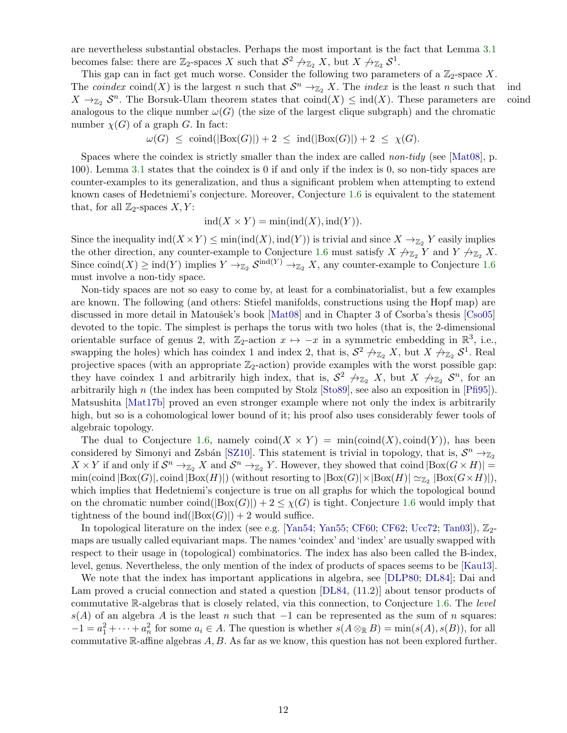are nevertheless substantial obstacles. Perhaps the most important is the fact that Lemma [3.1](#page-8-1) becomes false: there are  $\mathbb{Z}_2$ -spaces X such that  $S^2 \nrightarrow \mathbb{Z}_2 X$ , but  $X \nrightarrow \mathbb{Z}_2 S^1$ .

This gap can in fact get much worse. Consider the following two parameters of a  $\mathbb{Z}_2$ -space X. The *coindex* coind(X) is the largest n such that  $S^n \to Z_2 X$ . The *index* is the least n such that ind  $X \to_{\mathbb{Z}_2} S^n$ . The Borsuk-Ulam theorem states that  $\text{coind}(X) \leq \text{ind}(X)$ . These parameters are coind analogous to the clique number  $\omega(G)$  (the size of the largest clique subgraph) and the chromatic number  $\chi(G)$  of a graph G. In fact:

$$
\omega(G) \leq \operatorname{coind}(|\mathrm{Box}(G)|) + 2 \leq \operatorname{ind}(|\mathrm{Box}(G)|) + 2 \leq \chi(G).
$$

Spaces where the coindex is strictly smaller than the index are called *non-tidy* (see [\[Mat08\]](#page-21-6), p. 100). Lemma [3.1](#page-8-1) states that the coindex is 0 if and only if the index is 0, so non-tidy spaces are counter-examples to its generalization, and thus a significant problem when attempting to extend known cases of Hedetniemi's conjecture. Moreover, Conjecture [1.6](#page-4-2) is equivalent to the statement that, for all  $\mathbb{Z}_2$ -spaces  $X, Y$ :

$$
ind(X \times Y) = min(ind(X), ind(Y)).
$$

Since the inequality  $\text{ind}(X \times Y) \le \min(\text{ind}(X), \text{ind}(Y))$  is trivial and since  $X \to_{\mathbb{Z}_2} Y$  easily implies the other direction, any counter-example to Conjecture [1.6](#page-4-2) must satisfy  $X \nrightarrow_{\mathbb{Z}_2} Y$  and  $Y \nrightarrow_{\mathbb{Z}_2} X$ . Since coind $(X) \geq \text{ind}(Y)$  implies  $Y \to_{\mathbb{Z}_2} S^{\text{ind}(Y)} \to_{\mathbb{Z}_2} X$ , any counter-example to Conjecture [1.6](#page-4-2) must involve a non-tidy space.

Non-tidy spaces are not so easy to come by, at least for a combinatorialist, but a few examples are known. The following (and others: Stiefel manifolds, constructions using the Hopf map) are discussed in more detail in Matoušek's book [\[Mat08\]](#page-21-6) and in Chapter 3 of Csorba's thesis [\[Cso05\]](#page-20-14) devoted to the topic. The simplest is perhaps the torus with two holes (that is, the 2-dimensional orientable surface of genus 2, with  $\mathbb{Z}_2$ -action  $x \mapsto -x$  in a symmetric embedding in  $\mathbb{R}^3$ , i.e., swapping the holes) which has coindex 1 and index 2, that is,  $S^2 \nrightarrow Z_2 X$ , but  $X \nrightarrow Z_2 S^1$ . Real projective spaces (with an appropriate  $\mathbb{Z}_2$ -action) provide examples with the worst possible gap: they have coindex 1 and arbitrarily high index, that is,  $S^2 \nrightarrow_{\mathbb{Z}_2} X$ , but  $X \nrightarrow_{\mathbb{Z}_2} S^n$ , for an arbitrarily high n (the index has been computed by Stolz [\[Sto89\]](#page-21-16), see also an exposition in [\[Pfi95\]](#page-21-17)). Matsushita [\[Mat17b\]](#page-21-18) proved an even stronger example where not only the index is arbitrarily high, but so is a cohomological lower bound of it; his proof also uses considerably fewer tools of algebraic topology.

The dual to Conjecture [1.6,](#page-4-2) namely  $\text{coind}(X \times Y) = \min(\text{coind}(X), \text{coind}(Y))$ , has been considered by Simonyi and Zsbán [\[SZ10\]](#page-21-15). This statement is trivial in topology, that is,  $S^n \to_{\mathbb{Z}_2}$  $X \times Y$  if and only if  $S^n \to_{\mathbb{Z}_2} X$  and  $S^n \to_{\mathbb{Z}_2} Y$ . However, they showed that coind  $|\text{Box}(G \times H)|$  =  $\min(\text{coind }|\text{Box}(G)|, \text{coind }|\text{Box}(H)|)$  (without resorting to  $|\text{Box}(G)| \times |\text{Box}(H)| \simeq_{\mathbb{Z}_2} |\text{Box}(G \times H)|$ ), which implies that Hedetniemi's conjecture is true on all graphs for which the topological bound on the chromatic number coind( $|Box(G)|$ ) + 2  $\leq \chi(G)$  is tight. Conjecture [1.6](#page-4-2) would imply that tightness of the bound ind( $|Box(G)|$ ) + 2 would suffice.

In topological literature on the index (see e.g. [\[Yan54;](#page-21-19) [Yan55;](#page-21-20) [CF60;](#page-20-15) [CF62;](#page-20-16) [Ucc72;](#page-21-21) [Tan03\]](#page-21-22)),  $\mathbb{Z}_{2}$ maps are usually called equivariant maps. The names 'coindex' and 'index' are usually swapped with respect to their usage in (topological) combinatorics. The index has also been called the B-index, level, genus. Nevertheless, the only mention of the index of products of spaces seems to be [\[Kau13\]](#page-20-17).

We note that the index has important applications in algebra, see [\[DLP80;](#page-20-18) [DL84\]](#page-20-19); Dai and Lam proved a crucial connection and stated a question  $[DL84, (11.2)]$  about tensor products of commutative R-algebras that is closely related, via this connection, to Conjecture [1.6.](#page-4-2) The level  $s(A)$  of an algebra A is the least n such that  $-1$  can be represented as the sum of n squares:  $-1 = a_1^2 + \cdots + a_n^2$  for some  $a_i \in A$ . The question is whether  $s(A \otimes_{\mathbb{R}} B) = \min(s(A), s(B))$ , for all commutative  $\mathbb{R}$ -affine algebras A, B. As far as we know, this question has not been explored further.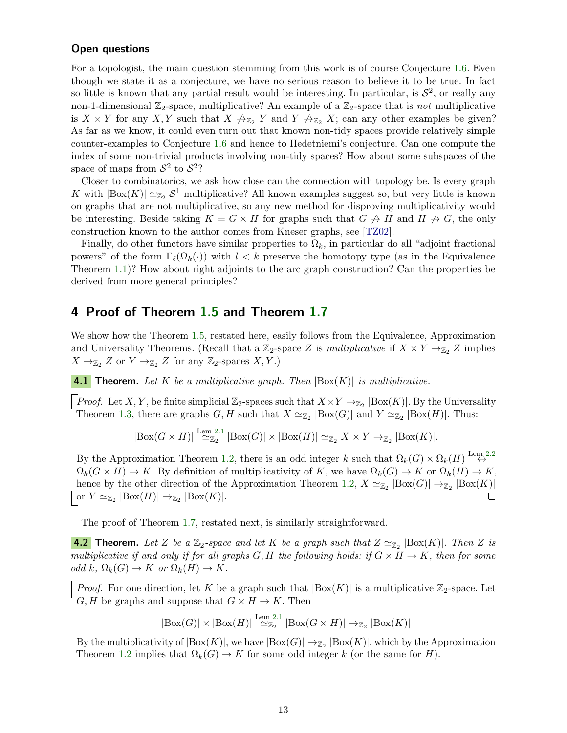#### Open questions

For a topologist, the main question stemming from this work is of course Conjecture [1.6.](#page-4-2) Even though we state it as a conjecture, we have no serious reason to believe it to be true. In fact so little is known that any partial result would be interesting. In particular, is  $S^2$ , or really any non-1-dimensional  $\mathbb{Z}_2$ -space, multiplicative? An example of a  $\mathbb{Z}_2$ -space that is not multiplicative is  $X \times Y$  for any X, Y such that  $X \nrightarrow_{\mathbb{Z}_2} Y$  and  $Y \nrightarrow_{\mathbb{Z}_2} X$ ; can any other examples be given? As far as we know, it could even turn out that known non-tidy spaces provide relatively simple counter-examples to Conjecture [1.6](#page-4-2) and hence to Hedetniemi's conjecture. Can one compute the index of some non-trivial products involving non-tidy spaces? How about some subspaces of the space of maps from  $S^2$  to  $S^2$ ?

Closer to combinatorics, we ask how close can the connection with topology be. Is every graph K with  $|\text{Box}(K)| \simeq_{\mathbb{Z}_2} S^1$  multiplicative? All known examples suggest so, but very little is known on graphs that are not multiplicative, so any new method for disproving multiplicativity would be interesting. Beside taking  $K = G \times H$  for graphs such that  $G \nrightarrow H$  and  $H \nrightarrow G$ , the only construction known to the author comes from Kneser graphs, see [\[TZ02\]](#page-21-23).

Finally, do other functors have similar properties to  $\Omega_k$ , in particular do all "adjoint fractional" powers" of the form  $\Gamma_\ell(\Omega_k(\cdot))$  with  $l < k$  preserve the homotopy type (as in the Equivalence Theorem [1.1\)](#page-2-1)? How about right adjoints to the arc graph construction? Can the properties be derived from more general principles?

# <span id="page-12-0"></span>4 Proof of Theorem [1.5](#page-4-3) and Theorem [1.7](#page-4-1)

We show how the Theorem [1.5,](#page-4-3) restated here, easily follows from the Equivalence, Approximation and Universality Theorems. (Recall that a  $\mathbb{Z}_2$ -space Z is *multiplicative* if  $X \times Y \to_{\mathbb{Z}_2} Z$  implies  $X \to_{\mathbb{Z}_2} Z$  or  $Y \to_{\mathbb{Z}_2} Z$  for any  $\mathbb{Z}_2$ -spaces  $X, Y$ .)

**4.1 Theorem.** Let K be a multiplicative graph. Then  $|Box(K)|$  is multiplicative.

*Proof.* Let X, Y, be finite simplicial  $\mathbb{Z}_2$ -spaces such that  $X \times Y \to_{\mathbb{Z}_2} |\text{Box}(K)|$ . By the Universality Theorem [1.3,](#page-2-3) there are graphs  $G, H$  such that  $X \simeq_{\mathbb{Z}_2} |\text{Box}(G)|$  and  $Y \simeq_{\mathbb{Z}_2} |\text{Box}(H)|$ . Thus:

$$
|\text{Box}(G \times H)| \stackrel{\text{Lem 2.1}}{\simeq} |\text{Box}(G)| \times |\text{Box}(H)| \simeq_{\mathbb{Z}_2} X \times Y \to_{\mathbb{Z}_2} |\text{Box}(K)|.
$$

By the Approximation Theorem [1.2,](#page-2-2) there is an odd integer k such that  $\Omega_k(G) \times \Omega_k(H) \stackrel{\text{Lem }2.2}{\leftrightarrow}$  $\Omega_k(G) \times \Omega_k(H) \stackrel{\text{Lem }2.2}{\leftrightarrow}$  $\Omega_k(G) \times \Omega_k(H) \stackrel{\text{Lem }2.2}{\leftrightarrow}$  $\Omega_k(G \times H) \to K$ . By definition of multiplicativity of K, we have  $\Omega_k(G) \to K$  or  $\Omega_k(H) \to K$ , hence by the other direction of the Approximation Theorem [1.2,](#page-2-2)  $X \simeq_{\mathbb{Z}_2} |\text{Box}(G)| \to_{\mathbb{Z}_2} |\text{Box}(K)|$ or  $Y \simeq_{\mathbb{Z}_2} |\text{Box}(H)| \to_{\mathbb{Z}_2} |\text{Box}(K)|.$ П

The proof of Theorem [1.7,](#page-4-1) restated next, is similarly straightforward.

**4.2** Theorem. Let Z be a  $\mathbb{Z}_2$ -space and let K be a graph such that  $Z \simeq_{\mathbb{Z}_2} |\text{Box}(K)|$ . Then Z is multiplicative if and only if for all graphs G, H the following holds: if  $G \times H \to K$ , then for some odd k,  $\Omega_k(G) \to K$  or  $\Omega_k(H) \to K$ .

*Proof.* For one direction, let K be a graph such that  $|Box(K)|$  is a multiplicative  $\mathbb{Z}_2$ -space. Let  $G, H$  be graphs and suppose that  $G \times H \to K$ . Then

$$
|\mathrm{Box}(G)| \times |\mathrm{Box}(H)| \stackrel{\mathrm{Lem 2.1}}{\simeq_{\mathbb{Z}_2}} |\mathrm{Box}(G \times H)| \to_{\mathbb{Z}_2} |\mathrm{Box}(K)|
$$

By the multiplicativity of  $|\text{Box}(K)|$ , we have  $|\text{Box}(G)| \to_{\mathbb{Z}_2} |\text{Box}(K)|$ , which by the Approximation Theorem [1.2](#page-2-2) implies that  $\Omega_k(G) \to K$  for some odd integer k (or the same for H).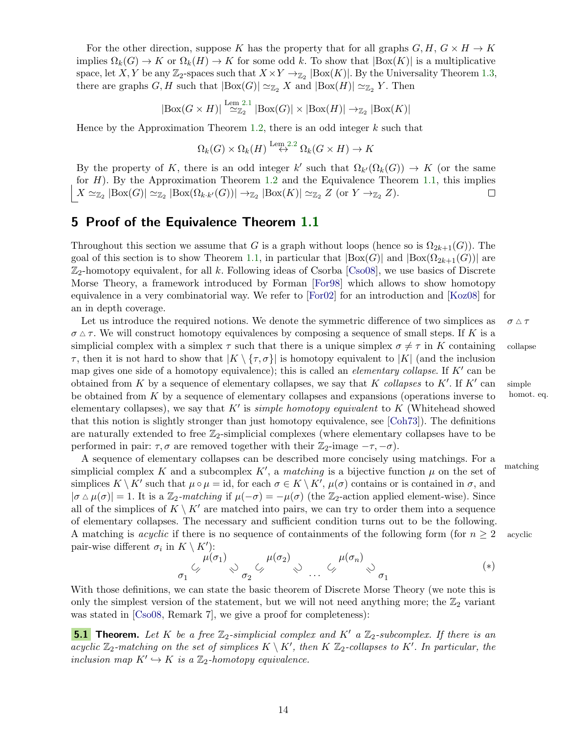For the other direction, suppose K has the property that for all graphs  $G, H, G \times H \rightarrow K$ implies  $\Omega_k(G) \to K$  or  $\Omega_k(H) \to K$  for some odd k. To show that  $|\text{Box}(K)|$  is a multiplicative space, let X, Y be any  $\mathbb{Z}_2$ -spaces such that  $X \times Y \to_{\mathbb{Z}_2} |\text{Box}(K)|$ . By the Universality Theorem [1.3,](#page-2-3) there are graphs G, H such that  $|Box(G)| \simeq_{\mathbb{Z}_2} X$  and  $|Box(H)| \simeq_{\mathbb{Z}_2} Y$ . Then

$$
|\mathrm{Box}(G \times H)| \stackrel{\mathrm{Lem 2.1}}{\simeq} |\mathrm{Box}(G)| \times |\mathrm{Box}(H)| \to_{\mathbb{Z}_2} |\mathrm{Box}(K)|
$$

Hence by the Approximation Theorem [1.2,](#page-2-2) there is an odd integer  $k$  such that

$$
\Omega_k(G) \times \Omega_k(H) \stackrel{\text{Lem }2.2}{\leftrightarrow} \Omega_k(G \times H) \to K
$$

By the property of K, there is an odd integer k' such that  $\Omega_{k'}(\Omega_k(G)) \to K$  (or the same for  $H$ ). By the Approximation Theorem [1.2](#page-2-2) and the Equivalence Theorem [1.1,](#page-2-1) this implies  $X \simeq_{\mathbb{Z}_2} |\text{Box}(G)| \simeq_{\mathbb{Z}_2} |\text{Box}(\Omega_{k \cdot k'}(G))| \to_{\mathbb{Z}_2} |\text{Box}(K)| \simeq_{\mathbb{Z}_2} Z \text{ (or } Y \to_{\mathbb{Z}_2} Z).$  $\Box$ 

# <span id="page-13-0"></span>5 Proof of the Equivalence Theorem [1.1](#page-2-1)

Throughout this section we assume that G is a graph without loops (hence so is  $\Omega_{2k+1}(G)$ ). The goal of this section is to show Theorem [1.1,](#page-2-1) in particular that  $|Box(G)|$  and  $|Box(\Omega_{2k+1}(G))|$  are  $\mathbb{Z}_2$ -homotopy equivalent, for all k. Following ideas of Csorba [\[Cso08\]](#page-20-7), we use basics of Discrete Morse Theory, a framework introduced by Forman [\[For98\]](#page-20-20) which allows to show homotopy equivalence in a very combinatorial way. We refer to [\[For02\]](#page-20-21) for an introduction and [\[Koz08\]](#page-21-24) for an in depth coverage.

Let us introduce the required notions. We denote the symmetric difference of two simplices as  $\sigma \wedge \tau$  $\sigma \Delta \tau$ . We will construct homotopy equivalences by composing a sequence of small steps. If K is a simplicial complex with a simplex  $\tau$  such that there is a unique simplex  $\sigma \neq \tau$  in K containing collapse  $\tau$ , then it is not hard to show that  $|K \setminus {\tau, \sigma}|$  is homotopy equivalent to  $|K|$  (and the inclusion map gives one side of a homotopy equivalence); this is called an *elementary collapse*. If  $K'$  can be obtained from K by a sequence of elementary collapses, we say that K collapses to K'. If  $K'$ be obtained from  $K$  by a sequence of elementary collapses and expansions (operations inverse to homot. eq. elementary collapses), we say that  $K'$  is *simple homotopy equivalent* to K (Whitehead showed that this notion is slightly stronger than just homotopy equivalence, see [\[Coh73\]](#page-20-22)). The definitions are naturally extended to free  $\mathbb{Z}_2$ -simplicial complexes (where elementary collapses have to be performed in pair:  $\tau, \sigma$  are removed together with their  $\mathbb{Z}_2$ -image  $-\tau, -\sigma$ ).

A sequence of elementary collapses can be described more concisely using matchings. For a simplicial complex K and a subcomplex K', a matching is a bijective function  $\mu$  on the set of matching simplices  $K \setminus K'$  such that  $\mu \circ \mu = id$ , for each  $\sigma \in K \setminus K'$ ,  $\mu(\sigma)$  contains or is contained in  $\sigma$ , and  $|\sigma \Delta \mu(\sigma)| = 1$ . It is a  $\mathbb{Z}_2$ -matching if  $\mu(-\sigma) = -\mu(\sigma)$  (the  $\mathbb{Z}_2$ -action applied element-wise). Since all of the simplices of  $K \setminus K'$  are matched into pairs, we can try to order them into a sequence of elementary collapses. The necessary and sufficient condition turns out to be the following. A matching is *acyclic* if there is no sequence of containments of the following form (for  $n \geq 2$  acyclic pair-wise different  $\sigma_i$  in  $K \setminus K'$ :

<span id="page-13-1"></span>
$$
\sigma_1 \stackrel{\mu(\sigma_1)}{\diamond} \circlearrowright_{\sigma_2} \stackrel{\mu(\sigma_2)}{\diamond} \circlearrowleft \cdots \stackrel{\mu(\sigma_n)}{\diamond} \circlearrowright_{\sigma_1} \qquad (*)
$$

With those definitions, we can state the basic theorem of Discrete Morse Theory (we note this is only the simplest version of the statement, but we will not need anything more; the  $\mathbb{Z}_2$  variant was stated in [\[Cso08,](#page-20-7) Remark 7], we give a proof for completeness):

<span id="page-13-2"></span>**5.1 Theorem.** Let K be a free  $\mathbb{Z}_2$ -simplicial complex and K' a  $\mathbb{Z}_2$ -subcomplex. If there is an acyclic  $\mathbb{Z}_2$ -matching on the set of simplices  $K \setminus K'$ , then  $K \mathbb{Z}_2$ -collapses to  $K'$ . In particular, the inclusion map  $K' \hookrightarrow K$  is a  $\mathbb{Z}_2$ -homotopy equivalence.

simple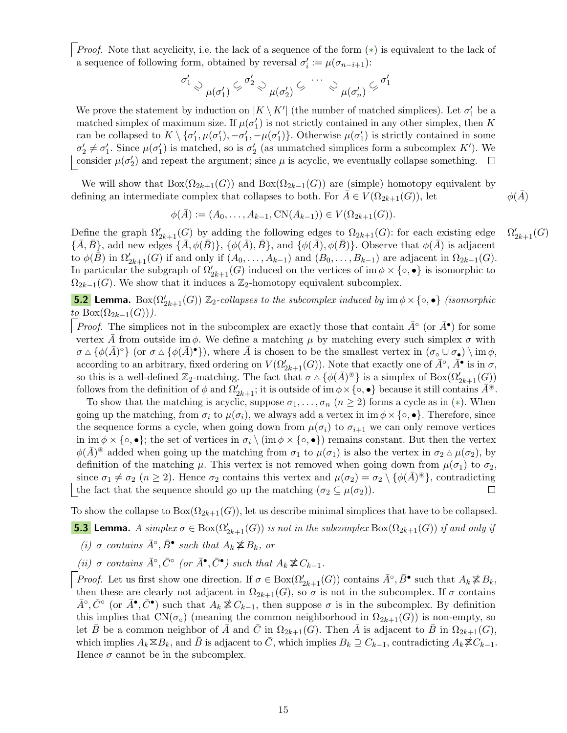Proof. Note that acyclicity, i.e. the lack of a sequence of the form (\*) is equivalent to the lack of a sequence of following form, obtained by reversal  $\sigma_i' := \mu(\sigma_{n-i+1})$ :

$$
\sigma'_1 \otimes \mathop{\downarrow}_{\mu(\sigma'_1)} \mathop{\subsetneq}^{\sigma'_2} \mathop{\diamond}^{\mathop{\downarrow}_{\mu(\sigma'_2)}} \mathop{\subsetneq}^{\cdots} \mathop{\diamond}^{\mathop{\downarrow}_{\mu(\sigma'_n)}} \mathop{\subsetneq}^{\sigma'_1}
$$

We prove the statement by induction on  $|K \setminus K'|$  (the number of matched simplices). Let  $\sigma'_1$  be a matched simplex of maximum size. If  $\mu(\sigma'_1)$  is not strictly contained in any other simplex, then K can be collapsed to  $K \setminus {\{\sigma'_1,\mu(\sigma'_1),-\sigma'_1, -\mu(\sigma'_1)\}}$ . Otherwise  $\mu(\sigma'_1)$  is strictly contained in some  $\sigma'_2 \neq \sigma'_1$ . Since  $\mu(\sigma'_1)$  is matched, so is  $\sigma'_2$  (as unmatched simplices form a subcomplex K'). We consider  $\mu(\sigma'_2)$  and repeat the argument; since  $\mu$  is acyclic, we eventually collapse something.

We will show that  $Box(\Omega_{2k+1}(G))$  and  $Box(\Omega_{2k-1}(G))$  are (simple) homotopy equivalent by defining an intermediate complex that collapses to both. For  $A \in V(\Omega_{2k+1}(G))$ , let  $\phi(A)$ 

$$
\phi(\bar{A}) := (A_0, \dots, A_{k-1}, \mathcal{CN}(A_{k-1})) \in V(\Omega_{2k+1}(G)).
$$

Define the graph  $\Omega'_{2k+1}(G)$  by adding the following edges to  $\Omega_{2k+1}(G)$ : for each existing edge  $\Omega$  $C'_{2k+1}(G)$  ${\{\bar{A}, \bar{B}\}}$ , add new edges  ${\{\bar{A}, \phi(\bar{B})\}}$ ,  ${\{\phi(\bar{A}), \bar{B}\}}$ , and  ${\{\phi(\bar{A}), \phi(\bar{B})\}}$ . Observe that  $\phi(\bar{A})$  is adjacent to  $\phi(\tilde{B})$  in  $\Omega'_{2k+1}(G)$  if and only if  $(A_0, \ldots, A_{k-1})$  and  $(B_0, \ldots, B_{k-1})$  are adjacent in  $\Omega_{2k-1}(G)$ . In particular the subgraph of  $\Omega'_{2k+1}(G)$  induced on the vertices of im  $\phi \times \{\circ, \bullet\}$  is isomorphic to  $\Omega_{2k-1}(G)$ . We show that it induces a  $\mathbb{Z}_2$ -homotopy equivalent subcomplex.

<span id="page-14-1"></span>**5.2 Lemma.** Box $(\Omega_{2k+1}'(G))$   $\mathbb{Z}_2$ -collapses to the subcomplex induced by  $\text{im } \phi \times \{ \circ, \bullet \}$  (isomorphic to Box $(\Omega_{2k-1}(G))$ .

*Proof.* The simplices not in the subcomplex are exactly those that contain  $\bar{A}^{\circ}$  (or  $\bar{A}^{\bullet}$ ) for some vertex A from outside im  $\phi$ . We define a matching  $\mu$  by matching every such simplex  $\sigma$  with  $\sigma \Delta \{\phi(\bar{A})^{\circ}\}\$  (or  $\sigma \Delta \{\phi(\bar{A})^{\bullet}\}\)$ , where  $\bar{A}$  is chosen to be the smallest vertex in  $(\sigma_{\circ} \cup \sigma_{\bullet}) \setminus \text{im } \phi$ , according to an arbitrary, fixed ordering on  $V(\Omega_{2k+1}(G))$ . Note that exactly one of  $\bar{A}^\circ$ ,  $\bar{A}^\bullet$  is in  $\sigma$ , so this is a well-defined  $\mathbb{Z}_2$ -matching. The fact that  $\sigma \wedge {\phi(\bar{A})^{\circledast}}$  is a simplex of  $Box(\Omega'_{2k+1}(G))$ follows from the definition of  $\phi$  and  $\Omega'_{2k+1}$ ; it is outside of  $\operatorname{im} \phi \times \{\circ, \bullet\}$  because it still contains  $\overline{A}^{\circledast}$ .

To show that the matching is acyclic, suppose  $\sigma_1, \ldots, \sigma_n$   $(n \geq 2)$  forms a cycle as in  $(*)$ . When going up the matching, from  $\sigma_i$  to  $\mu(\sigma_i)$ , we always add a vertex in im  $\phi \times \{\circ, \bullet\}$ . Therefore, since the sequence forms a cycle, when going down from  $\mu(\sigma_i)$  to  $\sigma_{i+1}$  we can only remove vertices in im  $\phi \times \{\circ, \bullet\}$ ; the set of vertices in  $\sigma_i \setminus \{im \phi \times \{\circ, \bullet\}\}\$  remains constant. But then the vertex  $\phi(\bar{A})^*$  added when going up the matching from  $\sigma_1$  to  $\mu(\sigma_1)$  is also the vertex in  $\sigma_2 \Delta \mu(\sigma_2)$ , by definition of the matching  $\mu$ . This vertex is not removed when going down from  $\mu(\sigma_1)$  to  $\sigma_2$ , since  $\sigma_1 \neq \sigma_2$  ( $n \geq 2$ ). Hence  $\sigma_2$  contains this vertex and  $\mu(\sigma_2) = \sigma_2 \setminus {\phi(\bar{A})^*}$ , contradicting the fact that the sequence should go up the matching  $(\sigma_2 \subseteq \mu(\sigma_2)).$  $\Box$ 

To show the collapse to  $Box(\Omega_{2k+1}(G))$ , let us describe minimal simplices that have to be collapsed.

<span id="page-14-0"></span>**5.3** Lemma. A simplex  $\sigma \in Box(\Omega_{2k+1}'(G))$  is not in the subcomplex  $Box(\Omega_{2k+1}(G))$  if and only if (i)  $\sigma$  contains  $\bar{A}^{\circ}, \bar{B}^{\bullet}$  such that  $A_k \not\cong B_k$ , or

(ii)  $\sigma$  contains  $\bar{A}^{\circ}, \bar{C}^{\circ}$  (or  $\bar{A}^{\bullet}, \bar{C}^{\bullet}$ ) such that  $A_k \not\cong C_{k-1}$ .

*Proof.* Let us first show one direction. If  $\sigma \in Box(\Omega'_{2k+1}(G))$  contains  $\bar{A}^{\circ}, \bar{B}^{\bullet}$  such that  $A_k \not\leq B_k$ , then these are clearly not adjacent in  $\Omega_{2k+1}(G)$ , so  $\sigma$  is not in the subcomplex. If  $\sigma$  contains  $\bar{A}^{\circ}, \bar{C}^{\circ}$  (or  $\bar{A}^{\bullet}, \bar{C}^{\bullet}$ ) such that  $A_k \not\cong C_{k-1}$ , then suppose  $\sigma$  is in the subcomplex. By definition this implies that  $CN(\sigma_{\circ})$  (meaning the common neighborhood in  $\Omega_{2k+1}(G)$ ) is non-empty, so let  $\bar{B}$  be a common neighbor of  $\bar{A}$  and  $\bar{C}$  in  $\Omega_{2k+1}(G)$ . Then  $\bar{A}$  is adjacent to  $\bar{B}$  in  $\Omega_{2k+1}(G)$ , which implies  $A_k \boxtimes B_k$ , and  $\bar{B}$  is adjacent to  $\bar{C}$ , which implies  $B_k \supseteq C_{k-1}$ , contradicting  $A_k \not\cong C_{k-1}$ . Hence  $\sigma$  cannot be in the subcomplex.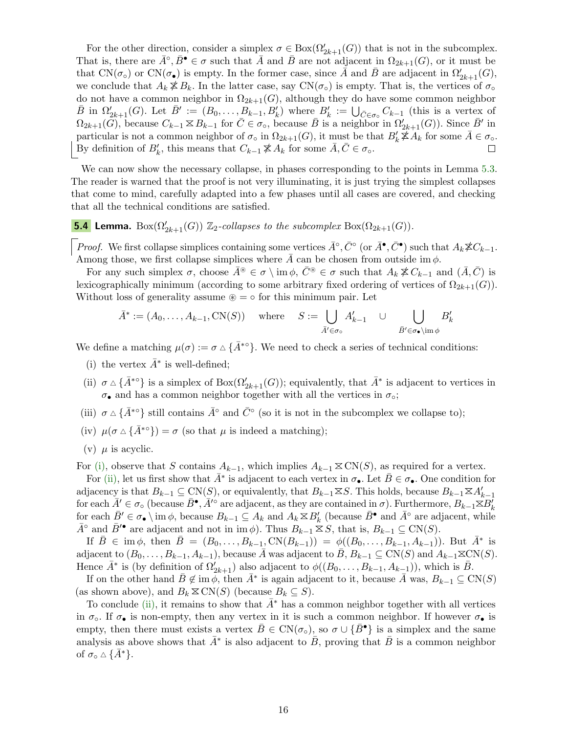For the other direction, consider a simplex  $\sigma \in \text{Box}(\Omega'_{2k+1}(G))$  that is not in the subcomplex. That is, there are  $\bar{A}^{\circ}, \bar{B}^{\bullet} \in \sigma$  such that  $\bar{A}$  and  $\bar{B}$  are not adjacent in  $\Omega_{2k+1}(G)$ , or it must be that CN( $\sigma$ °) or CN( $\sigma$ <sup>•</sup>) is empty. In the former case, since  $\overline{A}$  and  $\overline{B}$  are adjacent in  $\Omega'_{2k+1}(G)$ , we conclude that  $A_k \not\leq B_k$ . In the latter case, say  $CN(\sigma_{\circ})$  is empty. That is, the vertices of  $\sigma_{\circ}$ do not have a common neighbor in  $\Omega_{2k+1}(G)$ , although they do have some common neighbor  $\bar{B}$  in  $\Omega'_{2k+1}(G)$ . Let  $\bar{B}' := (B_0, \ldots, B_{k-1}, B'_k)$  where  $B'_k := \bigcup_{\bar{C} \in \sigma_0} C_{k-1}$  (this is a vertex of  $\Omega_{2k+1}(\widetilde{G})$ , because  $C_{k-1} \boxtimes B_{k-1}$  for  $\overline{C} \in \sigma$ <sub>o</sub>, because  $\overline{B}$  is a neighbor in  $\Omega'_{2k+1}(G)$ ). Since  $\overline{B}'$  in particular is not a common neighbor of  $\sigma_{\circ}$  in  $\Omega_{2k+1}(G)$ , it must be that  $B'_{k} \nless A_{k}$  for some  $\overline{A} \in \sigma_{\circ}$ . By definition of  $B'_k$ , this means that  $C_{k-1} \not\cong A_k$  for some  $\overline{A}, \overline{C} \in \sigma_0$ .

We can now show the necessary collapse, in phases corresponding to the points in Lemma [5.3.](#page-14-0) The reader is warned that the proof is not very illuminating, it is just trying the simplest collapses that come to mind, carefully adapted into a few phases until all cases are covered, and checking that all the technical conditions are satisfied.

<span id="page-15-5"></span>**5.4 Lemma.** Box $(\Omega'_{2k+1}(G))$   $\mathbb{Z}_2$ -collapses to the subcomplex Box $(\Omega_{2k+1}(G))$ .

*Proof.* We first collapse simplices containing some vertices  $\bar{A}^\circ$ ,  $\bar{C}^\circ$  (or  $\bar{A}^\bullet$ ,  $\bar{C}^\bullet$ ) such that  $A_k \not\cong C_{k-1}$ . Among those, we first collapse simplices where  $\bar{A}$  can be chosen from outside im  $\phi$ .

For any such simplex  $\sigma$ , choose  $\bar{A}^* \in \sigma \setminus \text{im } \phi$ ,  $\bar{C}^* \in \sigma$  such that  $A_k \not\cong C_{k-1}$  and  $(\bar{A}, \bar{C})$  is lexicographically minimum (according to some arbitrary fixed ordering of vertices of  $\Omega_{2k+1}(G)$ ). Without loss of generality assume  $\mathcal{F} = \circ$  for this minimum pair. Let

$$
\bar{A}^* := (A_0, \dots, A_{k-1}, \text{CN}(S)) \quad \text{where} \quad S := \bigcup_{\bar{A}' \in \sigma_\circ} A'_{k-1} \quad \cup \quad \bigcup_{\bar{B}' \in \sigma_\bullet \setminus \text{im } \phi} B'_k
$$

We define a matching  $\mu(\sigma) := \sigma \Delta \{ \bar{A}^{* \circ} \}$ . We need to check a series of technical conditions:

- <span id="page-15-0"></span>(i) the vertex  $\bar{A}^*$  is well-defined;
- <span id="page-15-1"></span>(ii)  $\sigma \Delta \{\bar{A}^{*o}\}\$ is a simplex of  $Box(\Omega'_{2k+1}(G))$ ; equivalently, that  $\bar{A}^*$  is adjacent to vertices in  $\sigma_{\bullet}$  and has a common neighbor together with all the vertices in  $\sigma_{\circ};$
- <span id="page-15-2"></span>(iii)  $\sigma \Delta \{\bar{A}^{* \circ}\}\$ still contains  $\bar{A}^{\circ}$  and  $\bar{C}^{\circ}$  (so it is not in the subcomplex we collapse to);
- <span id="page-15-3"></span>(iv)  $\mu(\sigma \Delta {\overline{A}}^{*\circ}) = \sigma$  (so that  $\mu$  is indeed a matching);
- <span id="page-15-4"></span>(v)  $\mu$  is acyclic.

For [\(i\),](#page-15-0) observe that S contains  $A_{k-1}$ , which implies  $A_{k-1} \n\t\le CN(S)$ , as required for a vertex.

For [\(ii\),](#page-15-1) let us first show that  $\bar{A}^*$  is adjacent to each vertex in  $\sigma_{\bullet}$ . Let  $\bar{B}\in\sigma_{\bullet}$ . One condition for adjacency is that  $B_{k-1} \subseteq CN(S)$ , or equivalently, that  $B_{k-1} \times S$ . This holds, because  $B_{k-1} \times A'_{k-1}$ for each  $\bar{A}' \in \sigma_\circ$  (because  $\bar{B}^\bullet$ ,  $\bar{A}'^\circ$  are adjacent, as they are contained in  $\sigma$ ). Furthermore,  $B_{k-1} \boxtimes B'_k$ for each  $\bar{B}' \in \sigma_{\bullet} \setminus \text{im } \phi$ , because  $B_{k-1} \subseteq A_k$  and  $A_k \boxtimes B'_k$  (because  $\bar{B}^{\bullet}$  and  $\bar{A}^{\circ}$  are adjacent, while  $\bar{A}^{\circ}$  and  $\bar{B}'^{\bullet}$  are adjacent and not in im  $\phi$ ). Thus  $B_{k-1} \leq S$ , that is,  $B_{k-1} \subseteq CN(S)$ .

If  $\bar{B} \in \text{im } \phi$ , then  $\bar{B} = (B_0, \ldots, B_{k-1}, \text{CN}(B_{k-1})) = \phi((B_0, \ldots, B_{k-1}, A_{k-1}))$ . But  $\bar{A}^*$  is adjacent to  $(B_0, \ldots, B_{k-1}, A_{k-1})$ , because A was adjacent to B,  $B_{k-1} \subseteq CN(S)$  and  $A_{k-1} \times CN(S)$ . Hence  $\bar{A}^*$  is (by definition of  $\Omega'_{2k+1}$ ) also adjacent to  $\phi((B_0, \ldots, B_{k-1}, A_{k-1}))$ , which is  $\bar{B}$ .

If on the other hand  $\bar{B} \notin \text{im } \phi$ , then  $\bar{A}^*$  is again adjacent to it, because  $\bar{A}$  was,  $B_{k-1} \subseteq CN(S)$ (as shown above), and  $B_k \Sigma CN(S)$  (because  $B_k \subseteq S$ ).

To conclude [\(ii\),](#page-15-1) it remains to show that  $A^*$  has a common neighbor together with all vertices in  $\sigma_{\rm o}$ . If  $\sigma_{\bullet}$  is non-empty, then any vertex in it is such a common neighbor. If however  $\sigma_{\bullet}$  is empty, then there must exists a vertex  $\bar{B} \in CN(\sigma_{\circ})$ , so  $\sigma \cup {\bar{B}}^{\bullet}$  is a simplex and the same analysis as above shows that  $\bar{A}^*$  is also adjacent to  $\bar{B}$ , proving that  $\bar{B}$  is a common neighbor of  $\sigma_{\circ} \wedge {\overline{A}}^*$ .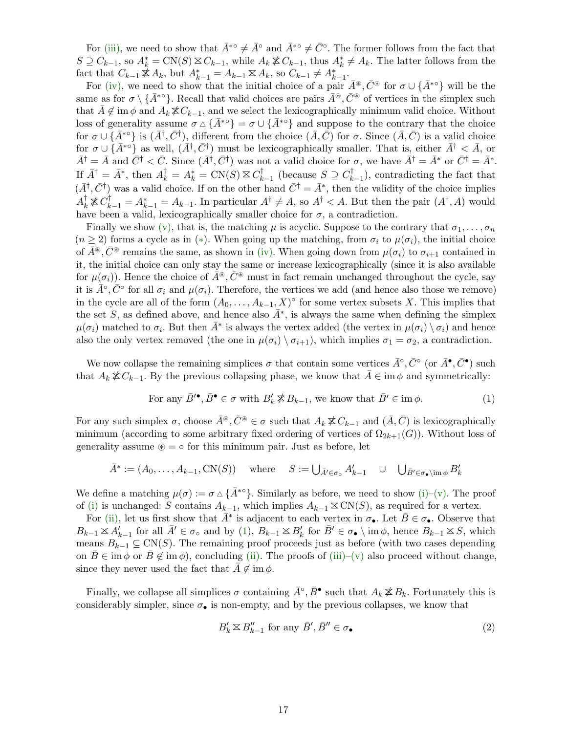For [\(iii\),](#page-15-2) we need to show that  $\bar{A}^{* \circ} \neq \bar{A}^{\circ}$  and  $\bar{A}^{* \circ} \neq \bar{C}^{\circ}$ . The former follows from the fact that  $S \supseteq C_{k-1}$ , so  $A_k^* = \text{CN}(S) \boxtimes C_{k-1}$ , while  $A_k \not\cong C_{k-1}$ , thus  $A_k^* \neq A_k$ . The latter follows from the fact that  $C_{k-1} \nleq A_k$ , but  $A_{k-1}^* = A_{k-1} \nleq A_k$ , so  $C_{k-1} \neq A_{k-1}^*$ .

For [\(iv\),](#page-15-3) we need to show that the initial choice of a pair  $\bar{A}^{\circledast}$ ,  $\bar{C}^{\circledast}$  for  $\sigma \cup {\{\bar{A}^{*\circ}\}}$  will be the same as for  $\sigma \setminus {\{\bar{A}^{* \circ}\}}$ . Recall that valid choices are pairs  $\bar{A}^{\circledast}, \bar{C}^{\circledast}$  of vertices in the simplex such that  $A \notin \text{im } \phi$  and  $A_k \not\leq C_{k-1}$ , and we select the lexicographically minimum valid choice. Without loss of generality assume  $\sigma \Delta {\bar{A}}^{* \circ} = \sigma \cup {\bar{A}}^{* \circ}$  and suppose to the contrary that the choice for  $\sigma \cup \{\bar{A}^{* \circ}\}\$ is  $(\bar{A}^{\dagger}, \bar{C}^{\dagger})$ , different from the choice  $(\bar{A}, \bar{C})$  for  $\sigma$ . Since  $(\bar{A}, \bar{C})$  is a valid choice for  $\sigma \cup \{ \bar{A}^{* \circ} \}$  as well,  $(\bar{A}^{\dagger}, \bar{C}^{\dagger})$  must be lexicographically smaller. That is, either  $\bar{A}^{\dagger} < \bar{A}$ , or  $\bar{A}^{\dagger} = \bar{A}$  and  $\bar{C}^{\dagger} < \bar{C}$ . Since  $(\bar{A}^{\dagger}, \bar{C}^{\dagger})$  was not a valid choice for  $\sigma$ , we have  $\bar{A}^{\dagger} = \bar{A}^*$  or  $\bar{C}^{\dagger} = \bar{A}^*$ . If  $\bar{A}^{\dagger} = \bar{A}^*$ , then  $A_k^{\dagger} = A_k^* = \text{CN}(S) \boxtimes C_k^{\dagger}$  $\bigcirc_{k-1}^{\dagger}$  (because  $S \supseteq C_k^{\dagger}$  $\binom{[r]}{k-1}$ , contradicting the fact that  $(\bar{A}^{\dagger}, \bar{C}^{\dagger})$  was a valid choice. If on the other hand  $\bar{C}^{\dagger} = \bar{A}^*$ , then the validity of the choice implies  $A_k^{\dagger} \not\equiv C_{k-1}^{\dagger} = A_{k-1}^*$ . In particular  $A^{\dagger} \neq A$ , so  $A^{\dagger} < A$ . But then the pair  $(A^{\dagger}, A)$  would have been a valid, lexicographically smaller choice for  $\sigma$ , a contradiction.

Finally we show [\(v\),](#page-15-4) that is, the matching  $\mu$  is acyclic. Suppose to the contrary that  $\sigma_1, \ldots, \sigma_n$  $(n \geq 2)$  forms a cycle as in (\*). When going up the matching, from  $\sigma_i$  to  $\mu(\sigma_i)$ , the initial choice of  $A^{\circledast}$ ,  $C^{\circledast}$  remains the same, as shown in [\(iv\).](#page-15-3) When going down from  $\mu(\sigma_i)$  to  $\sigma_{i+1}$  contained in it, the initial choice can only stay the same or increase lexicographically (since it is also available for  $\mu(\sigma_i)$ ). Hence the choice of  $\bar{A}^{\circledast}$ ,  $\bar{C}^{\circledast}$  must in fact remain unchanged throughout the cycle, say it is  $\tilde{A}^\circ$ ,  $\tilde{C}^\circ$  for all  $\sigma_i$  and  $\mu(\sigma_i)$ . Therefore, the vertices we add (and hence also those we remove) in the cycle are all of the form  $(A_0, \ldots, A_{k-1}, X)^\circ$  for some vertex subsets X. This implies that the set S, as defined above, and hence also  $\bar{A}^*$ , is always the same when defining the simplex  $\mu(\sigma_i)$  matched to  $\sigma_i$ . But then  $\bar{A}^*$  is always the vertex added (the vertex in  $\mu(\sigma_i) \setminus \sigma_i$ ) and hence also the only vertex removed (the one in  $\mu(\sigma_i) \setminus \sigma_{i+1}$ ), which implies  $\sigma_1 = \sigma_2$ , a contradiction.

We now collapse the remaining simplices  $\sigma$  that contain some vertices  $\bar{A}^\circ, \bar{C}^\circ$  (or  $\bar{A}^\bullet, \bar{C}^\bullet$ ) such that  $A_k \not\cong C_{k-1}$ . By the previous collapsing phase, we know that  $\overline{A} \in \text{im } \phi$  and symmetrically:

For any 
$$
\bar{B}'^{\bullet}, \bar{B}^{\bullet} \in \sigma
$$
 with  $B'_k \not\leq B_{k-1}$ , we know that  $\bar{B}' \in \text{im } \phi$ . (1)

For any such simplex  $\sigma$ , choose  $\bar{A}^{\circledast}$ ,  $\bar{C}^{\circledast} \in \sigma$  such that  $A_k \not\cong C_{k-1}$  and  $(\bar{A}, \bar{C})$  is lexicographically minimum (according to some arbitrary fixed ordering of vertices of  $\Omega_{2k+1}(G)$ ). Without loss of generality assume  $\mathcal{F} = \circ$  for this minimum pair. Just as before, let

$$
\bar{A}^*:=(A_0,\ldots,A_{k-1},\mathrm{CN}(S))\quad\text{ where }\quad S:=\bigcup_{\bar{A}'\in\sigma_\mathrm{o}}A'_{k-1}\quad\cup\quad\bigcup_{\bar{B}'\in\sigma_\bullet\backslash\mathrm{im}\,\phi}B'_k
$$

We define a matching  $\mu(\sigma) := \sigma \Delta \{ \bar{A}^{*o} \}$ . Similarly as before, we need to show [\(i\)](#page-15-0)[–\(v\).](#page-15-4) The proof of [\(i\)](#page-15-0) is unchanged: S contains  $A_{k-1}$ , which implies  $A_{k-1} \n\t\le CN(S)$ , as required for a vertex.

For [\(ii\),](#page-15-1) let us first show that  $\bar{A}^*$  is adjacent to each vertex in  $\sigma_{\bullet}$ . Let  $\bar{B}\in\sigma_{\bullet}$ . Observe that  $B_{k-1} \n\t\leq A'_{k-1}$  for all  $\bar{A}' \in \sigma_{\circ}$  and by [\(1\)](#page-13-1),  $B_{k-1} \n\t\leq B'_{k}$  for  $\bar{B}' \in \sigma_{\bullet} \setminus \text{im } \phi$ , hence  $B_{k-1} \n\t\leq S$ , which means  $B_{k-1} \subseteq CN(S)$ . The remaining proof proceeds just as before (with two cases depending on  $B\in \text{im }\phi$  or  $B\not\in \text{im }\phi$ , concluding [\(ii\).](#page-15-1) The proofs of [\(iii\)–](#page-15-2)[\(v\)](#page-15-4) also proceed without change, since they never used the fact that  $A \notin \text{im } \phi$ .

Finally, we collapse all simplices  $\sigma$  containing  $\bar{A}^\circ$ ,  $\bar{B}^\bullet$  such that  $A_k \not\leq B_k$ . Fortunately this is considerably simpler, since  $\sigma_{\bullet}$  is non-empty, and by the previous collapses, we know that

<span id="page-16-0"></span>
$$
B'_k \boxtimes B''_{k-1} \text{ for any } \bar{B}', \bar{B}'' \in \sigma_{\bullet}
$$
 (2)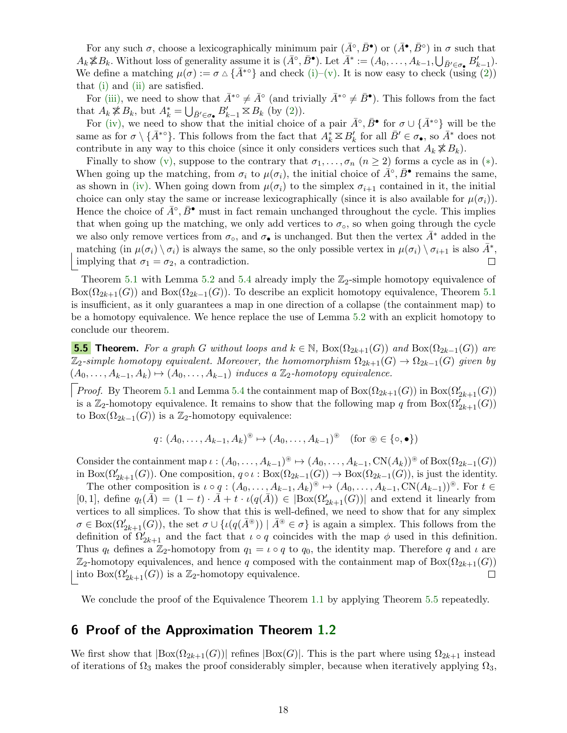For any such  $\sigma$ , choose a lexicographically minimum pair  $(\bar{A}^\circ, \bar{B}^\bullet)$  or  $(\bar{A}^\bullet, \bar{B}^\circ)$  in  $\sigma$  such that  $A_k \not\cong B_k$ . Without loss of generality assume it is  $(\bar{A}^\circ, \bar{B}^\bullet)$ . Let  $\bar{A}^* := (A_0, \ldots, A_{k-1}, \bigcup_{\bar{B}' \in \sigma_\bullet} B'_{k-1})$ . We define a matching  $\mu(\sigma) := \sigma \Delta \{ \bar{A}^{*0} \}$  and check [\(i\)–](#page-15-0)[\(v\).](#page-15-4) It is now easy to check (using [\(2\)](#page-16-0)) that [\(i\)](#page-15-0) and [\(ii\)](#page-15-1) are satisfied.

For [\(iii\),](#page-15-2) we need to show that  $\bar{A}^{*} \circ \neq \bar{A}^{\circ}$  (and trivially  $\bar{A}^{*} \circ \neq \bar{B}^{\bullet}$ ). This follows from the fact that  $A_k \not\leq B_k$ , but  $A_k^* = \bigcup_{\bar{B}' \in \sigma_{\bullet}} B'_{k-1} \boxtimes B_k$  (by [\(2\)](#page-16-0)).

For [\(iv\),](#page-15-3) we need to show that the initial choice of a pair  $\bar{A}^\circ$ ,  $\bar{B}^\bullet$  for  $\sigma \cup \{\bar{A}^{*\circ}\}\$  will be the same as for  $\sigma \setminus {\{\bar{A}^{* \circ}\}}$ . This follows from the fact that  $A_k^* \boxtimes B_k'$  for all  $\bar{B}' \in \sigma_{\bullet}$ , so  $\bar{A}^*$  does not contribute in any way to this choice (since it only considers vertices such that  $A_k \not\leq B_k$ ).

Finally to show [\(v\),](#page-15-4) suppose to the contrary that  $\sigma_1, \ldots, \sigma_n$   $(n \geq 2)$  forms a cycle as in  $(*)$ . When going up the matching, from  $\sigma_i$  to  $\mu(\sigma_i)$ , the initial choice of  $\hat{A}^\circ, \bar{B}^\bullet$  remains the same, as shown in [\(iv\).](#page-15-3) When going down from  $\mu(\sigma_i)$  to the simplex  $\sigma_{i+1}$  contained in it, the initial choice can only stay the same or increase lexicographically (since it is also available for  $\mu(\sigma_i)$ ). Hence the choice of  $\bar{A}^\circ$ ,  $\bar{B}^\bullet$  must in fact remain unchanged throughout the cycle. This implies that when going up the matching, we only add vertices to  $\sigma_{\rm o}$ , so when going through the cycle we also only remove vertices from  $\sigma_{\rm o}$ , and  $\sigma_{\bullet}$  is unchanged. But then the vertex  $A^*$  added in the matching (in  $\mu(\sigma_i) \setminus \sigma_i$ ) is always the same, so the only possible vertex in  $\mu(\sigma_i) \setminus \sigma_{i+1}$  is also  $\bar{A}^*$ , implying that  $\sigma_1 = \sigma_2$ , a contradiction.  $\Box$ 

Theorem [5.1](#page-13-2) with Lemma [5.2](#page-14-1) and [5.4](#page-15-5) already imply the  $\mathbb{Z}_2$ -simple homotopy equivalence of  $B\alpha(\Omega_{2k+1}(G))$  and  $B\alpha(\Omega_{2k-1}(G))$ . To describe an explicit homotopy equivalence, Theorem [5.1](#page-13-2) is insufficient, as it only guarantees a map in one direction of a collapse (the containment map) to be a homotopy equivalence. We hence replace the use of Lemma [5.2](#page-14-1) with an explicit homotopy to conclude our theorem.

<span id="page-17-1"></span>**5.5 Theorem.** For a graph G without loops and  $k \in \mathbb{N}$ , Box $(\Omega_{2k+1}(G))$  and Box $(\Omega_{2k-1}(G))$  are  $\mathbb{Z}_2$ -simple homotopy equivalent. Moreover, the homomorphism  $\Omega_{2k+1}(G) \to \Omega_{2k-1}(G)$  given by  $(A_0, \ldots, A_{k-1}, A_k) \mapsto (A_0, \ldots, A_{k-1})$  induces a  $\mathbb{Z}_2$ -homotopy equivalence.

*Proof.* By Theorem [5.1](#page-13-2) and Lemma [5.4](#page-15-5) the containment map of  $Box(\Omega_{2k+1}(G))$  in  $Box(\Omega_{2k+1}'(G))$ is a Z<sub>2</sub>-homotopy equivalence. It remains to show that the following map q from Box $(\Omega_{2k+1}(G))$ to Box $(\Omega_{2k-1}(G))$  is a Z<sub>2</sub>-homotopy equivalence:

$$
q: (A_0, \ldots, A_{k-1}, A_k)^{\circledast} \mapsto (A_0, \ldots, A_{k-1})^{\circledast} \quad \text{(for } \circledast \in \{\circ, \bullet\}\text{)}
$$

Consider the containment map  $\iota : (A_0, \ldots, A_{k-1})^{\circledast} \mapsto (A_0, \ldots, A_{k-1}, \mathrm{CN}(A_k))^{\circledast}$  of  $\mathrm{Box}(\Omega_{2k-1}(G))$ in Box $(\Omega'_{2k+1}(G))$ . One composition,  $q \circ \iota : \text{Box}(\Omega_{2k-1}(G)) \to \text{Box}(\Omega_{2k-1}(G))$ , is just the identity.

The other composition is  $\iota \circ q : (A_0, \ldots, A_{k-1}, A_k)^{\circledast} \mapsto (A_0, \ldots, A_{k-1}, \mathrm{CN}(A_{k-1}))^{\circledast}$ . For  $t \in$ [0, 1], define  $q_t(\overline{A}) = (1-t) \cdot \overline{A} + t \cdot \iota(q(\overline{A})) \in |Box(\Omega'_{2k+1}(G))|$  and extend it linearly from vertices to all simplices. To show that this is well-defined, we need to show that for any simplex  $\sigma \in \text{Box}(\Omega_{2k+1}'(G))$ , the set  $\sigma \cup \{ \iota(q(\bar{A}^*) ) \mid \bar{A}^* \in \sigma \}$  is again a simplex. This follows from the definition of  $\Omega'_{2k+1}$  and the fact that  $\iota \circ q$  coincides with the map  $\phi$  used in this definition. Thus  $q_t$  defines a Z<sub>2</sub>-homotopy from  $q_1 = \iota \circ q$  to  $q_0$ , the identity map. Therefore q and  $\iota$  are  $\mathbb{Z}_2$ -homotopy equivalences, and hence q composed with the containment map of Box( $\Omega_{2k+1}(G)$ ) into  $Box(\Omega'_{2k+1}(G))$  is a  $\mathbb{Z}_2$ -homotopy equivalence.  $\Box$ 

We conclude the proof of the Equivalence Theorem [1.1](#page-2-1) by applying Theorem [5.5](#page-17-1) repeatedly.

# <span id="page-17-0"></span>6 Proof of the Approximation Theorem [1.2](#page-2-2)

We first show that  $|Box(\Omega_{2k+1}(G))|$  refines  $|Box(G)|$ . This is the part where using  $\Omega_{2k+1}$  instead of iterations of  $\Omega_3$  makes the proof considerably simpler, because when iteratively applying  $\Omega_3$ ,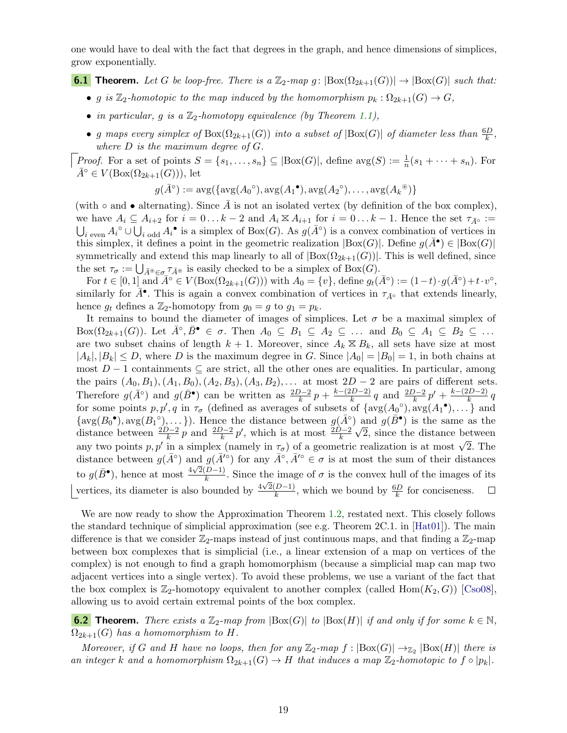one would have to deal with the fact that degrees in the graph, and hence dimensions of simplices, grow exponentially.

<span id="page-18-0"></span>**6.1 Theorem.** Let G be loop-free. There is a  $\mathbb{Z}_2$ -map g:  $\left| \text{Box}(\Omega_{2k+1}(G)) \right| \to \left| \text{Box}(G) \right|$  such that:

- g is  $\mathbb{Z}_2$ -homotopic to the map induced by the homomorphism  $p_k : \Omega_{2k+1}(G) \to G$ ,
- in particular, g is a  $\mathbb{Z}_2$ -homotopy equivalence (by Theorem [1.1\)](#page-2-1),
- g maps every simplex of  $Box(\Omega_{2k+1}(G))$  into a subset of  $|Box(G)|$  of diameter less than  $\frac{6D}{k}$ , where  $D$  is the maximum degree of  $G$ .

*Proof.* For a set of points  $S = \{s_1, \ldots, s_n\} \subseteq |\text{Box}(G)|$ , define  $\text{avg}(S) := \frac{1}{n}(s_1 + \cdots + s_n)$ . For  $\bar{A}^{\circ} \in V(\mathrm{Box}(\Omega_{2k+1}(G))),$  let

$$
g(\overline{A}^{\circ}) := \text{avg}(\{\text{avg}(A_0^{\circ}), \text{avg}(A_1^{\bullet}), \text{avg}(A_2^{\circ}), \dots, \text{avg}(A_k^{\circ})\}
$$

(with  $\circ$  and • alternating). Since A is not an isolated vertex (by definition of the box complex), we have  $A_i \subseteq A_{i+2}$  for  $i = 0...k-2$  and  $A_i \boxtimes A_{i+1}$  for  $i = 0...k-1$ . Hence the set  $\tau_{\bar{A}^\circ} :=$  $\bigcup_{i \text{ even}} A_i^{\circ} \cup \bigcup_{i \text{ odd}} A_i^{\bullet}$  is a simplex of Box(G). As  $g(\bar{A}^{\circ})$  is a convex combination of vertices in this simplex, it defines a point in the geometric realization  $|Box(G)|$ . Define  $g(\bar{A}^{\bullet}) \in |Box(G)|$ symmetrically and extend this map linearly to all of  $|Box(\Omega_{2k+1}(G))|$ . This is well defined, since the set  $\tau_{\sigma} := \bigcup_{\bar{A}^{\circledast} \in \sigma_{\mu}} \tau_{\bar{A}^{\circledast}}$  is easily checked to be a simplex of Box(G).

For  $t \in [0,1]$  and  $\overline{A}^\circ \in V(\text{Box}(\Omega_{2k+1}(G)))$  with  $A_0 = \{v\}$ , define  $g_t(\overline{A}^\circ) := (1-t) \cdot g(\overline{A}^\circ) + t \cdot v^\circ$ , similarly for  $\bar{A}^{\bullet}$ . This is again a convex combination of vertices in  $\tau_{\bar{A}^{\circ}}$  that extends linearly, hence  $g_t$  defines a  $\mathbb{Z}_2$ -homotopy from  $g_0 = g$  to  $g_1 = p_k$ .

It remains to bound the diameter of images of simplices. Let  $\sigma$  be a maximal simplex of  $Box(\Omega_{2k+1}(G))$ . Let  $\bar{A}^{\circ}, \bar{B}^{\bullet} \in \sigma$ . Then  $A_0 \subseteq B_1 \subseteq A_2 \subseteq \ldots$  and  $B_0 \subseteq A_1 \subseteq B_2 \subseteq \ldots$ are two subset chains of length  $k + 1$ . Moreover, since  $A_k \n\t\le B_k$ , all sets have size at most  $|A_k|, |B_k| \leq D$ , where D is the maximum degree in G. Since  $|A_0| = |B_0| = 1$ , in both chains at most  $D-1$  containments  $\subseteq$  are strict, all the other ones are equalities. In particular, among the pairs  $(A_0, B_1), (A_1, B_0), (A_2, B_3), (A_3, B_2), \ldots$  at most  $2D-2$  are pairs of different sets. Therefore  $g(\bar{A}^{\circ})$  and  $g(\bar{B}^{\bullet})$  can be written as  $\frac{2D-2}{k}p + \frac{k-(2D-2)}{k}$  $\frac{(n-2)(n-2)}{k}q$  and  $\frac{2D-2}{k}p' + \frac{k-(2D-2)}{k}$  $rac{2D-2j}{k}q$ for some points  $p, p', q$  in  $\tau_{\sigma}$  (defined as averages of subsets of  $\{avg(A_0^{\circ}), arg(A_1^{\bullet}), \ldots\}$  and  $\{\text{avg}(B_0^{\bullet}), \text{avg}(B_1^{\circ}), \ldots\}$ . Hence the distance between  $g(\bar{A}^{\circ})$  and  $g(\bar{B}^{\bullet})$  is the same as the distance between  $\frac{2D-2}{k}p$  and  $\frac{2D-2}{k}p'$ , which is at most  $\frac{2D-2}{k}\sqrt{2}$ , since the distance between any two points  $p, p'$  in a simplex (namely in  $\tau_{\sigma}$ ) of a geometric realization is at most  $\sqrt{2}$ . The distance between  $g(\bar{A}^{\circ})$  and  $g(\bar{A}'^{\circ})$  for any  $\bar{A}^{\circ}, \bar{A}'^{\circ} \in \sigma$  is at most the sum of their distances to  $g(\bar{B}^{\bullet})$ , hence at most  $\frac{4\sqrt{2(D-1)}}{k}$  $\frac{D-1}{k}$ . Since the image of  $\sigma$  is the convex hull of the images of its vertices, its diameter is also bounded by  $\frac{4\sqrt{2}(D-1)}{k}$  $\frac{(D-1)}{k}$ , which we bound by  $\frac{6D}{k}$  for conciseness.  $\Box$ 

We are now ready to show the Approximation Theorem [1.2,](#page-2-2) restated next. This closely follows the standard technique of simplicial approximation (see e.g. Theorem 2C.1. in [\[Hat01\]](#page-20-23)). The main difference is that we consider  $\mathbb{Z}_2$ -maps instead of just continuous maps, and that finding a  $\mathbb{Z}_2$ -map between box complexes that is simplicial (i.e., a linear extension of a map on vertices of the complex) is not enough to find a graph homomorphism (because a simplicial map can map two adjacent vertices into a single vertex). To avoid these problems, we use a variant of the fact that the box complex is  $\mathbb{Z}_2$ -homotopy equivalent to another complex (called  $\text{Hom}(K_2, G)$ ) [\[Cso08\]](#page-20-7), allowing us to avoid certain extremal points of the box complex.

**6.2 Theorem.** There exists a  $\mathbb{Z}_2$ -map from  $|Box(G)|$  to  $|Box(H)|$  if and only if for some  $k \in \mathbb{N}$ ,  $\Omega_{2k+1}(G)$  has a homomorphism to H.

Moreover, if G and H have no loops, then for any  $\mathbb{Z}_2$ -map  $f : |Box(G)| \rightarrow_{\mathbb{Z}_2} |Box(H)|$  there is an integer k and a homomorphism  $\Omega_{2k+1}(G) \to H$  that induces a map  $\mathbb{Z}_2$ -homotopic to  $f \circ |p_k|$ .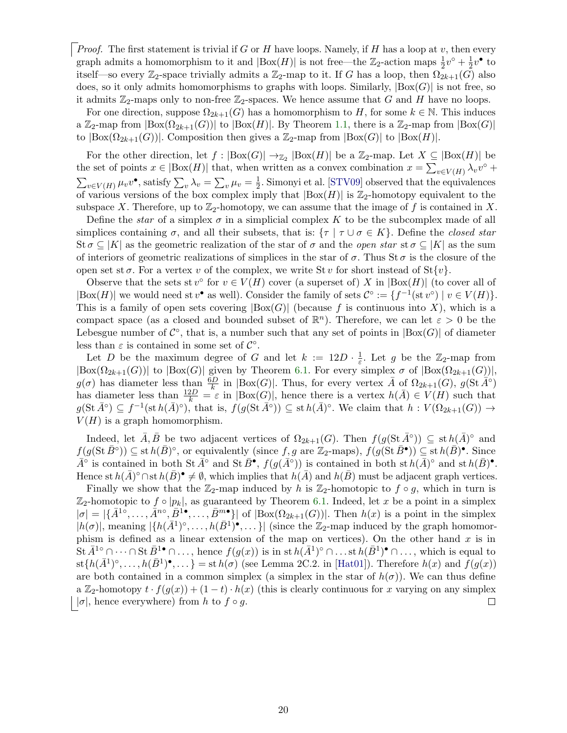*Proof.* The first statement is trivial if G or H have loops. Namely, if H has a loop at  $v$ , then every graph admits a homomorphism to it and  $|\text{Box}(H)|$  is not free—the  $\mathbb{Z}_2$ -action maps  $\frac{1}{2}v^{\circ} + \frac{1}{2}$  $\frac{1}{2}v^{\bullet}$  to itself—so every  $\mathbb{Z}_2$ -space trivially admits a  $\mathbb{Z}_2$ -map to it. If G has a loop, then  $\Omega_{2k+1}(G)$  also does, so it only admits homomorphisms to graphs with loops. Similarly,  $|Box(G)|$  is not free, so it admits  $\mathbb{Z}_2$ -maps only to non-free  $\mathbb{Z}_2$ -spaces. We hence assume that G and H have no loops.

For one direction, suppose  $\Omega_{2k+1}(G)$  has a homomorphism to H, for some  $k \in \mathbb{N}$ . This induces a  $\mathbb{Z}_2$ -map from  $|Box(\Omega_{2k+1}(G))|$  to  $|Box(H)|$ . By Theorem [1.1,](#page-2-1) there is a  $\mathbb{Z}_2$ -map from  $|Box(G)|$ to  $|Box(\Omega_{2k+1}(G))|$ . Composition then gives a  $\mathbb{Z}_2$ -map from  $|Box(G)|$  to  $|Box(H)|$ .

For the other direction, let  $f : |Box(G)| \to_{\mathbb{Z}_2} |Box(H)|$  be a  $\mathbb{Z}_2$ -map. Let  $X \subseteq |Box(H)|$  be the set of points  $x \in |\text{Box}(H)|$  that, when written as a convex combination  $x = \sum_{v \in V(H)} \lambda_v v^{\circ} +$  $\sum_{v \in V(H)} \mu_v v^{\bullet}$ , satisfy  $\sum_v \lambda_v = \sum_v \mu_v = \frac{1}{2}$  $\frac{1}{2}$ . Simonyi et al. [\[STV09\]](#page-21-25) observed that the equivalences of various versions of the box complex imply that  $|Box(H)|$  is  $\mathbb{Z}_2$ -homotopy equivalent to the subspace X. Therefore, up to  $\mathbb{Z}_2$ -homotopy, we can assume that the image of f is contained in X.

Define the star of a simplex  $\sigma$  in a simplicial complex K to be the subcomplex made of all simplices containing  $\sigma$ , and all their subsets, that is:  $\{\tau \mid \tau \cup \sigma \in K\}$ . Define the *closed star* St  $\sigma \subseteq |K|$  as the geometric realization of the star of  $\sigma$  and the *open star* st  $\sigma \subseteq |K|$  as the sum of interiors of geometric realizations of simplices in the star of  $\sigma$ . Thus St  $\sigma$  is the closure of the open set st  $\sigma$ . For a vertex v of the complex, we write St v for short instead of St $\{v\}$ .

Observe that the sets st  $v^{\circ}$  for  $v \in V(H)$  cover (a superset of) X in  $|Box(H)|$  (to cover all of  $|Box(H)|$  we would need st  $v^{\bullet}$  as well). Consider the family of sets  $\mathcal{C}^{\circ} := \{f^{-1}(\text{st } v^{\circ}) \mid v \in V(H)\}.$ This is a family of open sets covering  $|Box(G)|$  (because f is continuous into X), which is a compact space (as a closed and bounded subset of  $\mathbb{R}^n$ ). Therefore, we can let  $\varepsilon > 0$  be the Lebesgue number of  $\mathcal{C}^{\circ}$ , that is, a number such that any set of points in  $|Box(G)|$  of diameter less than  $\varepsilon$  is contained in some set of  $\mathcal{C}^{\circ}$ .

Let D be the maximum degree of G and let  $k := 12D \cdot \frac{1}{\varepsilon}$  $\frac{1}{\varepsilon}$ . Let g be the  $\mathbb{Z}_2$ -map from  $|\text{Box}(\Omega_{2k+1}(G))|$  to  $|\text{Box}(G)|$  given by Theorem [6.1.](#page-18-0) For every simplex  $\sigma$  of  $|\text{Box}(\Omega_{2k+1}(G))|$ ,  $g(\sigma)$  has diameter less than  $\frac{6D}{k}$  in  $|Box(G)|$ . Thus, for every vertex  $\overline{A}$  of  $\Omega_{2k+1}(G)$ ,  $g(\text{St } \overline{A}^{\circ})$ has diameter less than  $\frac{12D}{k} = \varepsilon$  in  $|Box(G)|$ , hence there is a vertex  $h(\overline{A}) \in V(H)$  such that  $g(\operatorname{St}\bar{A}^{\circ}) \subseteq f^{-1}(\operatorname{st} h(\bar{A})^{\circ}),$  that is,  $f(g(\operatorname{St}\bar{A}^{\circ})) \subseteq \operatorname{st} h(\bar{A})^{\circ}$ . We claim that  $h: V(\Omega_{2k+1}(G)) \to$  $V(H)$  is a graph homomorphism.

Indeed, let  $\bar{A}, \bar{B}$  be two adjacent vertices of  $\Omega_{2k+1}(G)$ . Then  $f(g(\mathrm{St}\,\bar{A}^{\circ})) \subseteq \mathrm{st}\,h(\bar{A})^{\circ}$  and  $f(g(\operatorname{St}\bar{B}^{\circ})) \subseteq \operatorname{st} h(\bar{B})^{\circ}$ , or equivalently (since  $f, g$  are  $\mathbb{Z}_2$ -maps),  $f(g(\operatorname{St}\bar{B}^{\bullet})) \subseteq \operatorname{st} h(\bar{B})^{\bullet}$ . Since  $\bar{A}^{\circ}$  is contained in both St  $\bar{A}^{\circ}$  and St  $\bar{B}^{\bullet}$ ,  $f(g(\bar{A}^{\circ}))$  is contained in both st  $h(\bar{A})^{\circ}$  and st  $h(\bar{B})^{\bullet}$ . Hence st  $h(\bar{A})^{\circ} \cap$  st  $h(\bar{B})^{\bullet} \neq \emptyset$ , which implies that  $h(\bar{A})$  and  $h(\bar{B})$  must be adjacent graph vertices.

Finally we show that the  $\mathbb{Z}_2$ -map induced by h is  $\mathbb{Z}_2$ -homotopic to  $f \circ g$ , which in turn is  $\mathbb{Z}_2$ -homotopic to  $f \circ |p_k|$ , as guaranteed by Theorem [6.1.](#page-18-0) Indeed, let x be a point in a simplex  $|\sigma| = |\{\bar{A}^{1\circ}, \ldots, \bar{A}^{n\circ}, \bar{B}^{1\bullet}, \ldots, \bar{B}^{m\bullet}\}|$  of  $|\text{Box}(\Omega_{2k+1}(G))|$ . Then  $h(x)$  is a point in the simplex  $|h(\sigma)|$ , meaning  $|\{h(\bar{A}^1)^\circ,\ldots,h(\bar{B}^1)^\bullet,\ldots\}|$  (since the  $\mathbb{Z}_2$ -map induced by the graph homomorphism is defined as a linear extension of the map on vertices). On the other hand  $x$  is in St  $\bar{A}^{1\circ}\cap\cdots\cap$  St  $\bar{B}^{1\bullet}\cap\ldots$ , hence  $f(g(x))$  is in st  $h(\bar{A}^{1})^{\circ}\cap\ldots$  st  $h(\bar{B}^{1})^{\bullet}\cap\ldots$ , which is equal to  $\text{st}\{h(\bar{A}^1)^\circ,\ldots,h(\bar{B}^1)^\bullet,\ldots\}=\text{st}\,h(\sigma)$  (see Lemma 2C.2. in [\[Hat01\]](#page-20-23)). Therefore  $h(x)$  and  $f(g(x))$ are both contained in a common simplex (a simplex in the star of  $h(\sigma)$ ). We can thus define a Z<sub>2</sub>-homotopy  $t \cdot f(g(x)) + (1-t) \cdot h(x)$  (this is clearly continuous for x varying on any simplex  $\vert \sigma \vert$ , hence everywhere) from h to  $f \circ g$ .  $\Box$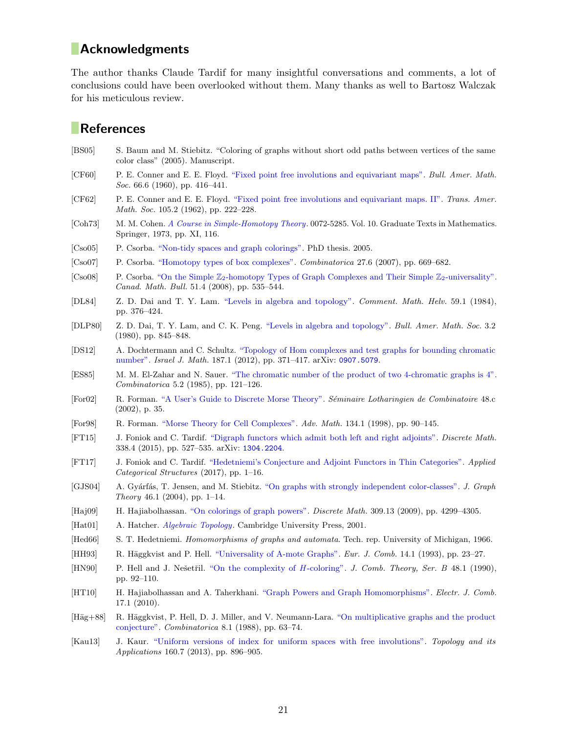# **Acknowledgments**

The author thanks Claude Tardif for many insightful conversations and comments, a lot of conclusions could have been overlooked without them. Many thanks as well to Bartosz Walczak for his meticulous review.

# **References**

- <span id="page-20-9"></span>[BS05] S. Baum and M. Stiebitz. "Coloring of graphs without short odd paths between vertices of the same color class" (2005). Manuscript.
- <span id="page-20-15"></span>[CF60] P. E. Conner and E. E. Floyd. ["Fixed point free involutions and equivariant maps".](https://projecteuclid.org/euclid.bams/1183523747) Bull. Amer. Math. Soc. 66.6 (1960), pp. 416–441.
- <span id="page-20-16"></span>[CF62] P. E. Conner and E. E. Floyd. ["Fixed point free involutions and equivariant maps. II".](http://dx.doi.org/10.2307/1993624) Trans. Amer. Math. Soc. 105.2 (1962), pp. 222–228.
- <span id="page-20-22"></span>[Coh73] M. M. Cohen. [A Course in Simple-Homotopy Theory](http://dx.doi.org/10.1007/978-1-4684-9372-6). 0072-5285. Vol. 10. Graduate Texts in Mathematics. Springer, 1973, pp. XI, 116.
- <span id="page-20-14"></span>[Cso05] P. Csorba. ["Non-tidy spaces and graph colorings".](http://dx.doi.org/10.3929/ethz-a-005083612) PhD thesis. 2005.
- <span id="page-20-6"></span>[Cso07] P. Csorba. ["Homotopy types of box complexes".](http://dx.doi.org/10.1007/s00493-007-2204-x) Combinatorica 27.6 (2007), pp. 669–682.
- <span id="page-20-7"></span>[Cso08] P. Csorba. "On the Simple  $\mathbb{Z}_2$ [-homotopy Types of Graph Complexes and Their Simple](http://dx.doi.org/10.4153/CMB-2008-053-9)  $\mathbb{Z}_2$ -universality". Canad. Math. Bull. 51.4 (2008), pp. 535–544.
- <span id="page-20-19"></span>[DL84] Z. D. Dai and T. Y. Lam. ["Levels in algebra and topology".](http://dx.doi.org/10.1007/BF02566358) Comment. Math. Helv. 59.1 (1984), pp. 376–424.
- <span id="page-20-18"></span>[DLP80] Z. D. Dai, T. Y. Lam, and C. K. Peng. ["Levels in algebra and topology".](http://dx.doi.org/10.1090/S0273-0979-1980-14826-0) Bull. Amer. Math. Soc. 3.2 (1980), pp. 845–848.
- <span id="page-20-8"></span>[DS12] A. Dochtermann and C. Schultz. ["Topology of Hom complexes and test graphs for bounding chromatic](http://dx.doi.org/10.1007/s11856-011-0085-6) [number".](http://dx.doi.org/10.1007/s11856-011-0085-6) Israel J. Math. 187.1 (2012), pp. 371–417. arXiv: [0907.5079](https://arxiv.org/abs/0907.5079).
- <span id="page-20-11"></span>[ES85] M. M. El-Zahar and N. Sauer. ["The chromatic number of the product of two 4-chromatic graphs is 4".](http://dx.doi.org/10.1007/BF02579374) Combinatorica 5.2 (1985), pp. 121–126.
- <span id="page-20-21"></span>[For02] R. Forman. ["A User's Guide to Discrete Morse Theory".](https://www.mat.univie.ac.at/~slc/wpapers/s48forman.html) S´eminaire Lotharingien de Combinatoire 48.c (2002), p. 35.
- <span id="page-20-20"></span>[For98] R. Forman. ["Morse Theory for Cell Complexes".](http://dx.doi.org/10.1006/aima.1997.1650) Adv. Math. 134.1 (1998), pp. 90–145.
- <span id="page-20-5"></span>[FT15] J. Foniok and C. Tardif. ["Digraph functors which admit both left and right adjoints".](http://dx.doi.org/10.1016/j.disc.2014.10.018) Discrete Math. 338.4 (2015), pp. 527–535. arXiv: [1304.2204](https://arxiv.org/abs/1304.2204).
- <span id="page-20-0"></span>[FT17] J. Foniok and C. Tardif. ["Hedetniemi's Conjecture and Adjoint Functors in Thin Categories".](http://dx.doi.org/10.1007/s10485-017-9484-0) Applied Categorical Structures (2017), pp. 1–16.
- <span id="page-20-2"></span>[GJS04] A. Gyárfás, T. Jensen, and M. Stiebitz. ["On graphs with strongly independent color-classes".](https://users.renyi.hu/~gyarfas/Cikkek/107_stronglyindependent.pdf) J. Graph Theory 46.1 (2004), pp. 1–14.
- <span id="page-20-13"></span>[Haj09] H. Hajiabolhassan. ["On colorings of graph powers".](http://dx.doi.org/10.1016/j.disc.2009.01.004) Discrete Math. 309.13 (2009), pp. 4299–4305.
- <span id="page-20-23"></span>[Hat01] A. Hatcher. *[Algebraic Topology](https://www.math.cornell.edu/~hatcher/AT/ATpage.html)*. Cambridge University Press, 2001.
- <span id="page-20-10"></span>[Hed66] S. T. Hedetniemi. Homomorphisms of graphs and automata. Tech. rep. University of Michigan, 1966.
- <span id="page-20-3"></span>[HH93] R. Häggkvist and P. Hell. ["Universality of A-mote Graphs".](http://dx.doi.org/10.1006/eujc.1993.1004) Eur. J. Comb. 14.1 (1993), pp. 23–27.
- <span id="page-20-1"></span>[HN90] P. Hell and J. Nešetřil. ["On the complexity of](http://dx.doi.org/10.1016/0095-8956(90)90132-J) H-coloring". J. Comb. Theory, Ser. B 48.1 (1990), pp. 92–110.
- <span id="page-20-4"></span>[HT10] H. Hajiabolhassan and A. Taherkhani. ["Graph Powers and Graph Homomorphisms".](http://www.combinatorics.org/Volume_17/Abstracts/v17i1r17.html) Electr. J. Comb. 17.1 (2010).
- <span id="page-20-12"></span>[Häg+88] R. Häggkvist, P. Hell, D. J. Miller, and V. Neumann-Lara. ["On multiplicative graphs and the product](http://hdl.handle.net/1828/1589) [conjecture".](http://hdl.handle.net/1828/1589) Combinatorica 8.1 (1988), pp. 63–74.
- <span id="page-20-17"></span>[Kau13] J. Kaur. ["Uniform versions of index for uniform spaces with free involutions".](http://dx.doi.org/10.1016/j.topol.2013.03.002) Topology and its Applications 160.7 (2013), pp. 896–905.